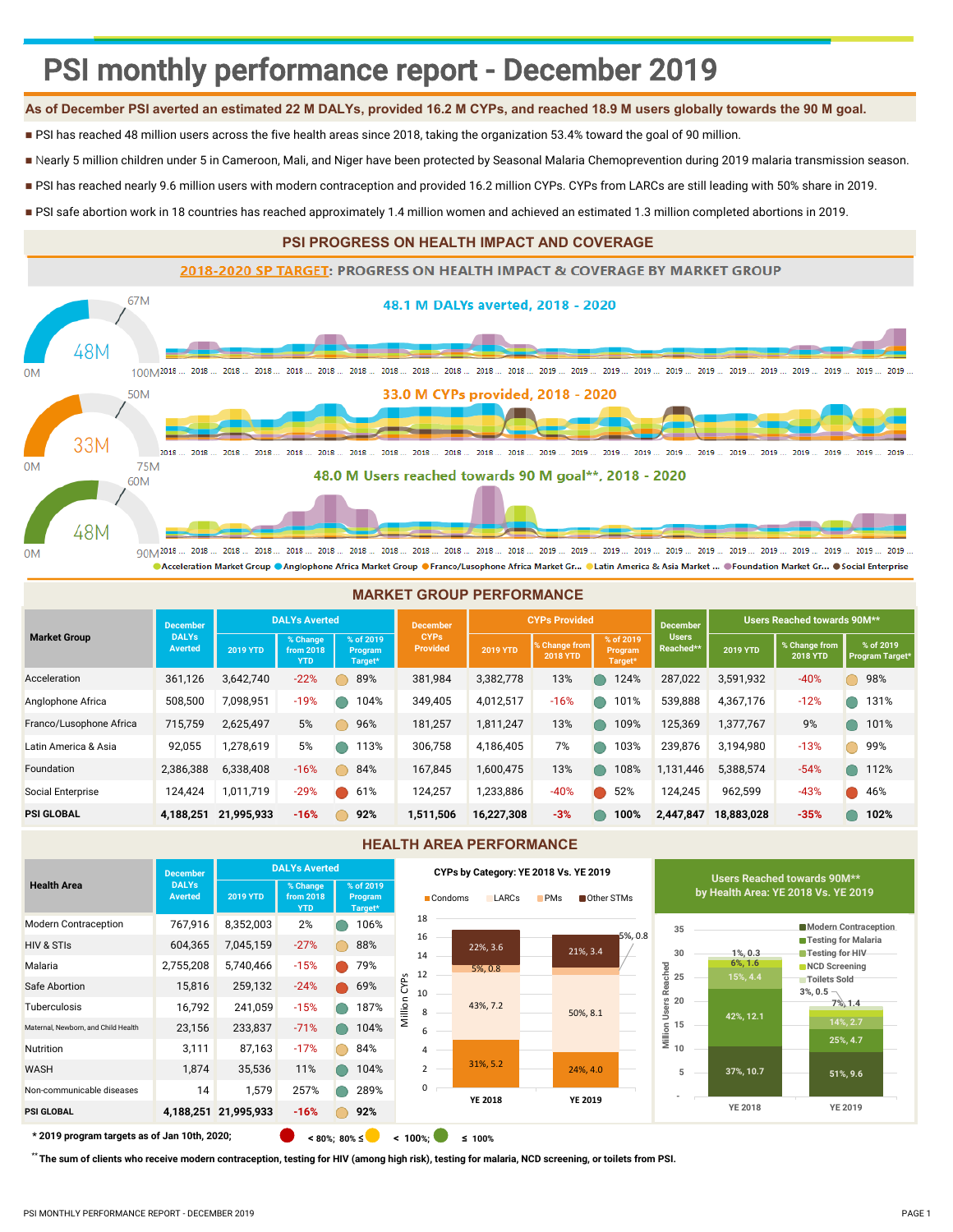# PSI monthly performance report - December 2019

# **As of December PSI averted an estimated 22 M DALYs, provided 16.2 M CYPs, and reached 18.9 M users globally towards the 90 M goal.**

- PSI has reached 48 million users across the five health areas since 2018, taking the organization 53.4% toward the goal of 90 million.
- Nearly 5 million children under 5 in Cameroon, Mali, and Niger have been protected by Seasonal Malaria Chemoprevention during 2019 malaria transmission season.
- PSI has reached nearly 9.6 million users with modern contraception and provided 16.2 million CYPs. CYPs from LARCs are still leading with 50% share in 2019.
- PSI safe abortion work in 18 countries has reached approximately 1.4 million women and achieved an estimated 1.3 million completed abortions in 2019.

# **PSI PROGRESS ON HEALTH IMPACT AND COVERAGE**



|                         |                         |                 |                                     |                                 | <b>MARKET GROUP PERFORMANCE</b> |                 |                                             |                                 |                           |                 |                                  |                              |
|-------------------------|-------------------------|-----------------|-------------------------------------|---------------------------------|---------------------------------|-----------------|---------------------------------------------|---------------------------------|---------------------------|-----------------|----------------------------------|------------------------------|
|                         | <b>December</b>         |                 | <b>DALYs Averted</b>                |                                 | <b>December</b>                 |                 | <b>CYPs Provided</b>                        |                                 | <b>December</b>           |                 | Users Reached towards 90M**      |                              |
| <b>Market Group</b>     | <b>DALYs</b><br>Averted | <b>2019 YTD</b> | % Change<br>from 2018<br><b>YTD</b> | % of 2019<br>Program<br>Target* | <b>CYPs</b><br><b>Provided</b>  | <b>2019 YTD</b> | <b>&amp; Change from</b><br><b>2018 YTD</b> | % of 2019<br>Program<br>Target* | <b>Users</b><br>Reached** | <b>2019 YTD</b> | % Change from<br><b>2018 YTD</b> | % of 2019<br>Program Target* |
| Acceleration            | 361,126                 | 3,642,740       | $-22%$                              | 89%                             | 381,984                         | 3,382,778       | 13%                                         | 124%                            | 287,022                   | 3,591,932       | $-40%$                           | 98%                          |
| Anglophone Africa       | 508,500                 | 7,098,951       | $-19%$                              | 104%                            | 349,405                         | 4,012,517       | $-16%$                                      | 101%                            | 539,888                   | 4,367,176       | $-12%$                           | 131%                         |
| Franco/Lusophone Africa | 715,759                 | 2,625,497       | 5%                                  | 96%                             | 181,257                         | 1,811,247       | 13%                                         | 109%                            | 125,369                   | 1,377,767       | 9%                               | 101%                         |
| Latin America & Asia    | 92,055                  | 1,278,619       | 5%                                  | 113%                            | 306,758                         | 4,186,405       | 7%                                          | 103%                            | 239,876                   | 3,194,980       | $-13%$                           | 99%                          |
| Foundation              | 2,386,388               | 6,338,408       | $-16%$                              | 84%                             | 167,845                         | 1,600,475       | 13%                                         | 108%                            | 1,131,446                 | 5,388,574       | $-54%$                           | 112%                         |
| Social Enterprise       | 124,424                 | 1,011,719       | $-29%$                              | 61%                             | 124,257                         | 1,233,886       | $-40%$                                      | 52%                             | 124,245                   | 962,599         | $-43%$                           | 46%                          |
| <b>PSI GLOBAL</b>       | 4,188,251               | 21,995,933      | $-16%$                              | 92%                             | 1,511,506                       | 16,227,308      | $-3%$                                       | 100%                            | 2,447,847                 | 18,883,028      | $-35%$                           | 102%                         |

#### **HEALTH AREA PERFORMANCE**



 **\* 2019 program targets as of Jan 10th, 2020; < 80%; 80% ≤< 100%;<sup>≤</sup> 100%**

 **\*\* The sum of clients who receive modern contraception, testing for HIV (among high risk), testing for malaria, NCD screening, or toilets from PSI.**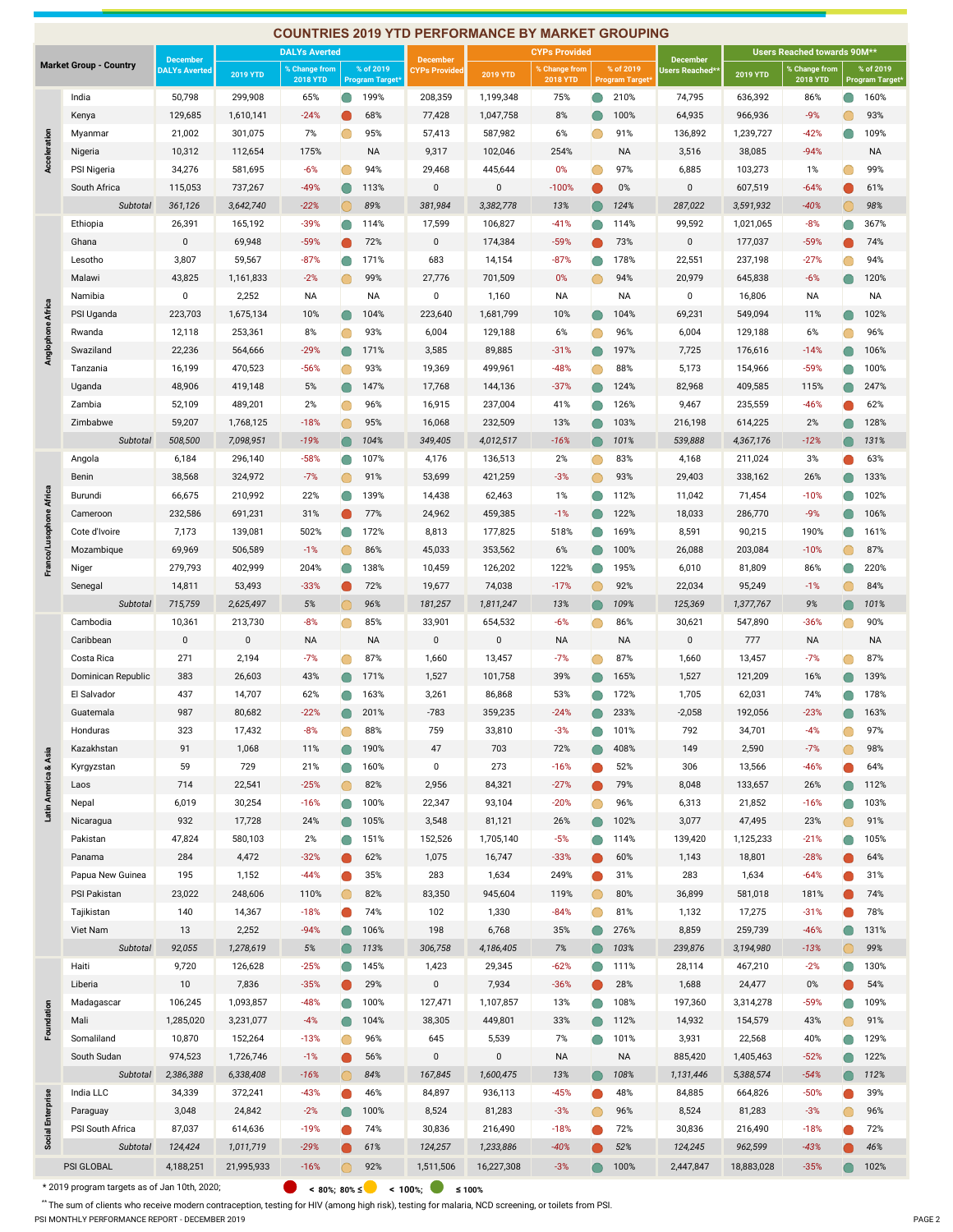|                         |                               |                                         |                 |                                  |         |                                     | <b>COUNTRIES 2019 YTD PERFORMANCE BY MARKET GROUPING</b> |              |                                  |   |                                     |                                   |                 |                                  |   |                              |
|-------------------------|-------------------------------|-----------------------------------------|-----------------|----------------------------------|---------|-------------------------------------|----------------------------------------------------------|--------------|----------------------------------|---|-------------------------------------|-----------------------------------|-----------------|----------------------------------|---|------------------------------|
|                         |                               |                                         |                 | <b>DALYs Averted</b>             |         |                                     |                                                          |              | <b>CYPs Provided</b>             |   |                                     |                                   |                 | Users Reached towards 90M**      |   |                              |
|                         | <b>Market Group - Country</b> | <b>December</b><br><b>DALYs Averted</b> | <b>2019 YTD</b> | % Change from<br><b>2018 YTD</b> |         | % of 2019<br><b>Program Target®</b> | <b>December</b><br><b>CYPs Provided</b>                  | 2019 YTD     | % Change from<br><b>2018 YTD</b> |   | % of 2019<br><b>Program Target®</b> | <b>December</b><br>Users Reached* | <b>2019 YTD</b> | % Change from<br><b>2018 YTD</b> |   | % of 2019<br>Program Target* |
|                         | India                         | 50,798                                  | 299,908         | 65%                              |         | 199%                                | 208,359                                                  | 1,199,348    | 75%                              |   | 210%                                | 74,795                            | 636,392         | 86%                              |   | 160%                         |
|                         | Kenya                         | 129,685                                 | 1,610,141       | $-24%$                           |         | 68%                                 | 77,428                                                   | 1,047,758    | 8%                               |   | 100%                                | 64,935                            | 966,936         | $-9%$                            |   | 93%                          |
|                         | Myanmar                       | 21,002                                  | 301,075         | 7%                               |         | 95%                                 | 57,413                                                   | 587,982      | 6%                               |   | 91%                                 | 136,892                           | 1,239,727       | $-42%$                           |   | 109%                         |
| Acceleration            | Nigeria                       | 10,312                                  | 112,654         | 175%                             |         | NA                                  | 9,317                                                    | 102,046      | 254%                             |   | <b>NA</b>                           | 3,516                             | 38,085          | $-94%$                           |   | <b>NA</b>                    |
|                         | PSI Nigeria                   | 34,276                                  | 581,695         | $-6%$                            | O       | 94%                                 | 29,468                                                   | 445,644      | 0%                               | O | 97%                                 | 6,885                             | 103,273         | 1%                               |   | 99%                          |
|                         | South Africa                  | 115,053                                 | 737,267         | $-49%$                           | $\Box$  | 113%                                | $\bf{0}$                                                 | $\mathbf 0$  | $-100%$                          |   | 0%                                  | $\mathbf 0$                       | 607,519         | $-64%$                           |   | 61%                          |
|                         | Subtotal                      | 361,126                                 | 3,642,740       | $-22%$                           |         | 89%                                 | 381,984                                                  | 3,382,778    | 13%                              |   | 124%                                | 287,022                           | 3,591,932       | $-40%$                           |   | 98%                          |
|                         | Ethiopia                      | 26,391                                  | 165,192         | $-39%$                           |         | 114%                                | 17,599                                                   | 106,827      | $-41%$                           |   | 114%                                | 99,592                            | 1,021,065       | $-8%$                            |   | 367%                         |
|                         | Ghana                         | $\mathbf 0$                             | 69,948          | $-59%$                           |         | 72%                                 | 0                                                        | 174,384      | -59%                             |   | 73%                                 | 0                                 | 177,037         | $-59%$                           |   | 74%                          |
|                         | Lesotho                       | 3,807                                   | 59,567          | $-87%$                           |         | 171%                                | 683                                                      | 14,154       | $-87%$                           |   | 178%                                | 22,551                            | 237,198         | $-27%$                           |   | 94%                          |
|                         | Malawi                        | 43,825                                  | 1,161,833       | $-2%$                            |         | 99%                                 | 27,776                                                   | 701,509      | 0%                               |   | 94%                                 | 20,979                            | 645,838         | $-6%$                            |   | 120%                         |
|                         | Namibia                       | $\mathbf 0$                             | 2,252           | NA                               |         | ΝA                                  | $\pmb{0}$                                                | 1,160        | <b>NA</b>                        |   | ΝA                                  | 0                                 | 16,806          | ΝA                               |   | <b>NA</b>                    |
| Anglophone Africa       | PSI Uganda                    | 223,703                                 | 1,675,134       | 10%                              |         | 104%                                | 223,640                                                  | 1,681,799    | 10%                              |   | 104%                                | 69,231                            | 549,094         | 11%                              |   | 102%                         |
|                         | Rwanda                        | 12,118                                  | 253,361         | 8%                               |         | 93%                                 | 6,004                                                    | 129,188      | 6%                               |   | 96%                                 | 6,004                             | 129,188         | 6%                               |   | 96%                          |
|                         | Swaziland                     | 22,236                                  | 564,666         | $-29%$                           |         | 171%                                | 3,585                                                    | 89,885       | $-31%$                           |   | 197%                                | 7,725                             | 176,616         | $-14%$                           |   | 106%                         |
|                         | Tanzania                      | 16,199                                  | 470,523         | $-56%$                           |         | 93%                                 | 19,369                                                   | 499,961      | $-48%$                           |   | 88%                                 | 5,173                             | 154,966         | $-59%$                           |   | 100%                         |
|                         | Uganda                        | 48,906                                  | 419,148         | 5%                               |         | 147%                                | 17,768                                                   | 144,136      | $-37%$                           |   | 124%                                | 82,968                            | 409,585         | 115%                             |   | 247%                         |
|                         | Zambia                        | 52,109                                  | 489,201         | 2%                               |         | 96%                                 | 16,915                                                   | 237,004      | 41%                              |   | 126%                                | 9,467                             | 235,559         | $-46%$                           |   | 62%                          |
|                         | Zimbabwe                      | 59,207                                  | 1,768,125       | $-18%$                           | O       | 95%                                 | 16,068                                                   | 232,509      | 13%                              | O | 103%                                | 216,198                           | 614,225         | 2%                               |   | 128%                         |
|                         | Subtotal                      | 508,500                                 | 7,098,951       | $-19%$                           |         | 104%                                | 349,405                                                  | 4,012,517    | $-16%$                           |   | 101%                                | 539,888                           | 4,367,176       | $-12%$                           |   | 131%                         |
|                         | Angola                        | 6,184                                   | 296,140         | $-58%$                           |         | 107%                                | 4,176                                                    | 136,513      | 2%                               |   | 83%                                 | 4,168                             | 211,024         | 3%                               |   | 63%                          |
|                         | Benin                         | 38,568                                  | 324,972         | $-7%$                            | $\circ$ | 91%                                 | 53,699                                                   | 421,259      | $-3%$                            | O | 93%                                 | 29,403                            | 338,162         | 26%                              |   | 133%                         |
|                         | Burundi                       | 66,675                                  | 210,992         | 22%                              |         | 139%                                | 14,438                                                   | 62,463       | 1%                               |   | 112%                                | 11,042                            | 71,454          | $-10%$                           |   | 102%                         |
| Franco/Lusophone Africa | Cameroon                      | 232,586                                 | 691,231         | 31%                              |         | 77%                                 | 24,962                                                   | 459,385      | $-1%$                            |   | 122%                                | 18,033                            | 286,770         | $-9%$                            |   | 106%                         |
|                         | Cote d'Ivoire                 | 7,173                                   | 139,081         | 502%                             |         | 172%                                | 8,813                                                    | 177,825      | 518%                             |   | 169%                                | 8,591                             | 90,215          | 190%                             |   | 161%                         |
|                         | Mozambique                    | 69,969                                  | 506,589         | $-1%$                            |         | 86%                                 | 45,033                                                   | 353,562      | 6%                               |   | 100%                                | 26,088                            | 203,084         | $-10%$                           |   | 87%                          |
|                         | Niger                         | 279,793                                 | 402,999         | 204%                             |         | 138%                                | 10,459                                                   | 126,202      | 122%                             |   | 195%                                | 6,010                             | 81,809          | 86%                              |   | 220%                         |
|                         | Senegal                       | 14,811                                  | 53,493          | $-33%$                           |         | 72%                                 | 19,677                                                   | 74,038       | $-17%$                           | O | 92%                                 | 22,034                            | 95,249          | $-1%$                            |   | 84%                          |
|                         | Subtotal                      | 715,759                                 | 2,625,497       | 5%                               |         | 96%                                 | 181,257                                                  | 1,811,247    | 13%                              |   | 109%                                | 125,369                           | 1,377,767       | 9%                               |   | 101%                         |
|                         | Cambodia                      | 10,361                                  | 213,730         | $-8%$                            | O       | 85%                                 | 33,901                                                   | 654,532      | $-6%$                            | O | 86%                                 | 30,621                            | 547,890         | $-36%$                           | O | 90%                          |
|                         | Caribbean                     | $\mathbf{0}$                            | $\mathbf 0$     | NA                               |         | <b>NA</b>                           | $\mathsf 0$                                              | $\mathbf{0}$ | NA                               |   | <b>NA</b>                           | $\mathsf 0$                       | 777             | <b>NA</b>                        |   | <b>NA</b>                    |
|                         | Costa Rica                    | 271                                     | 2,194           | $-7%$                            |         | 87%                                 | 1,660                                                    | 13,457       | $-7%$                            |   | 87%                                 | 1,660                             | 13,457          | $-7%$                            |   | 87%                          |
|                         | Dominican Republic            | 383                                     | 26,603          | 43%                              |         | 171%                                | 1,527                                                    | 101,758      | 39%                              |   | 165%                                | 1,527                             | 121,209         | 16%                              |   | 139%                         |
|                         | El Salvador                   | 437                                     | 14,707          | 62%                              |         | 163%                                | 3,261                                                    | 86,868       | 53%                              |   | 172%                                | 1,705                             | 62,031          | 74%                              |   | 178%                         |
|                         | Guatemala                     | 987                                     | 80,682          | $-22%$                           |         | 201%                                | $-783$                                                   | 359,235      | $-24%$                           |   | 233%                                | $-2,058$                          | 192,056         | $-23%$                           |   | 163%                         |
|                         | Honduras                      | 323                                     | 17,432          | -8%                              |         | 88%                                 | 759                                                      | 33,810       | $-3%$                            |   | 101%                                | 792                               | 34,701          | $-4%$                            |   | 97%                          |
|                         | Kazakhstan                    | 91                                      | 1,068           | 11%                              |         | 190%                                | 47                                                       | 703          | 72%                              |   | 408%                                | 149                               | 2,590           | $-7%$                            |   | 98%                          |
| Latin America & Asia    | Kyrgyzstan                    | 59                                      | 729             | 21%                              |         | 160%                                | $\mathbf 0$                                              | 273          | $-16%$                           |   | 52%                                 | 306                               | 13,566          | $-46%$                           |   | 64%                          |
|                         | Laos                          | 714                                     | 22,541          | $-25%$                           |         | 82%                                 | 2,956                                                    | 84,321       | $-27%$                           |   | 79%                                 | 8,048                             | 133,657         | 26%                              |   | 112%                         |
|                         | Nepal                         | 6,019                                   | 30,254          | $-16%$                           |         | 100%                                | 22,347                                                   | 93,104       | $-20%$                           |   | 96%                                 | 6,313                             | 21,852          | $-16%$                           |   | 103%                         |
|                         | Nicaragua                     | 932                                     | 17,728          | 24%                              |         | 105%                                | 3,548                                                    | 81,121       | 26%                              |   | 102%                                | 3,077                             | 47,495          | 23%                              |   | 91%                          |
|                         | Pakistan                      | 47,824                                  | 580,103         | 2%                               |         | 151%                                | 152,526                                                  | 1,705,140    | $-5%$                            |   | 114%                                | 139,420                           | 1,125,233       | $-21%$                           |   | 105%                         |
|                         | Panama                        | 284                                     | 4,472           | $-32%$                           |         | 62%                                 | 1,075                                                    | 16,747       | $-33%$                           |   | 60%                                 | 1,143                             | 18,801          | $-28%$                           |   | 64%                          |
|                         | Papua New Guinea              | 195                                     | 1,152           | $-44%$                           |         | 35%                                 | 283                                                      | 1,634        | 249%                             |   | 31%                                 | 283                               | 1,634           | $-64%$                           |   | 31%                          |
|                         | PSI Pakistan                  | 23,022                                  | 248,606         | 110%                             |         | 82%                                 | 83,350                                                   | 945,604      | 119%                             | ∩ | 80%                                 | 36,899                            | 581,018         | 181%                             |   | 74%                          |
|                         | Tajikistan                    | 140                                     | 14,367          | $-18%$                           |         | 74%                                 | 102                                                      | 1,330        | $-84%$                           | O | 81%                                 | 1,132                             | 17,275          | $-31%$                           |   | 78%                          |
|                         | Viet Nam                      | 13                                      | 2,252           | $-94%$                           |         | 106%                                | 198                                                      | 6,768        | 35%                              | O | 276%                                | 8,859                             | 259,739         | $-46%$                           |   | 131%                         |
|                         | Subtotal                      | 92,055                                  | 1,278,619       | 5%                               |         | 113%                                | 306,758                                                  | 4,186,405    | 7%                               |   | 103%                                | 239,876                           | 3,194,980       | $-13%$                           |   | 99%                          |
|                         | Haiti                         | 9,720                                   | 126,628         | $-25%$                           |         | 145%                                | 1,423                                                    | 29,345       | $-62%$                           |   | 111%                                | 28,114                            | 467,210         | $-2%$                            |   | 130%                         |
|                         | Liberia                       | 10                                      | 7,836           | $-35%$                           |         | 29%                                 | $\mathbf 0$                                              | 7,934        | $-36%$                           |   | 28%                                 | 1,688                             | 24,477          | $0\%$                            |   | 54%                          |
|                         | Madagascar                    | 106,245                                 | 1,093,857       | $-48%$                           |         | 100%                                | 127,471                                                  | 1,107,857    | 13%                              |   | 108%                                | 197,360                           | 3,314,278       | $-59%$                           |   | 109%                         |
| Foundation              | Mali                          | 1,285,020                               | 3,231,077       | $-4%$                            |         | 104%                                | 38,305                                                   | 449,801      | 33%                              |   | 112%                                | 14,932                            | 154,579         | 43%                              |   | 91%                          |
|                         | Somaliland                    | 10,870                                  | 152,264         | $-13%$                           | O       | 96%                                 | 645                                                      | 5,539        | 7%                               |   | 101%                                | 3,931                             | 22,568          | 40%                              |   | 129%                         |
|                         | South Sudan                   | 974,523                                 | 1,726,746       | $-1%$                            |         | 56%                                 | $\pmb{0}$                                                | 0            | <b>NA</b>                        |   | <b>NA</b>                           | 885,420                           | 1,405,463       | $-52%$                           |   | 122%                         |
|                         | Subtotal                      | 2,386,388                               | 6,338,408       | $-16%$                           | ○       | 84%                                 | 167,845                                                  | 1,600,475    | 13%                              |   | 108%                                | 1,131,446                         | 5,388,574       | $-54%$                           |   | 112%                         |
|                         | India LLC                     | 34,339                                  | 372,241         | $-43%$                           |         | 46%                                 | 84,897                                                   | 936,113      | $-45%$                           |   | 48%                                 | 84,885                            | 664,826         | $-50%$                           |   | 39%                          |
| Social Enterprise       | Paraguay                      | 3,048                                   | 24,842          | $-2%$                            |         | 100%                                | 8,524                                                    | 81,283       | $-3%$                            |   | 96%                                 | 8,524                             | 81,283          | $-3%$                            |   | 96%                          |
|                         | PSI South Africa              | 87,037                                  | 614,636         | $-19%$                           |         | 74%                                 | 30,836                                                   | 216,490      | $-18%$                           |   | 72%                                 | 30,836                            | 216,490         | $-18%$                           |   | 72%                          |
|                         | Subtotal                      | 124,424                                 | 1,011,719       | $-29%$                           |         | 61%                                 | 124,257                                                  | 1,233,886    | $-40%$                           |   | 52%                                 | 124,245                           | 962,599         | $-43%$                           |   | 46%                          |
|                         | PSI GLOBAL                    | 4,188,251                               | 21,995,933      | $-16%$                           |         | 92%                                 | 1,511,506                                                | 16,227,308   | $-3%$                            |   | 100%                                | 2,447,847                         | 18,883,028      | $-35%$                           |   | 102%                         |

\* 2019 program targets as of Jan 10th, 2020; **< 80%; 80% ≤< 100%; <sup>≤</sup> 100%**

\*\* The sum of clients who receive modern contraception, testing for HIV (among high risk), testing for malaria, NCD screening, or toilets from PSI. PSI MONTHLY PERFORMANCE REPORT - DECEMBER 2019 PAGE 2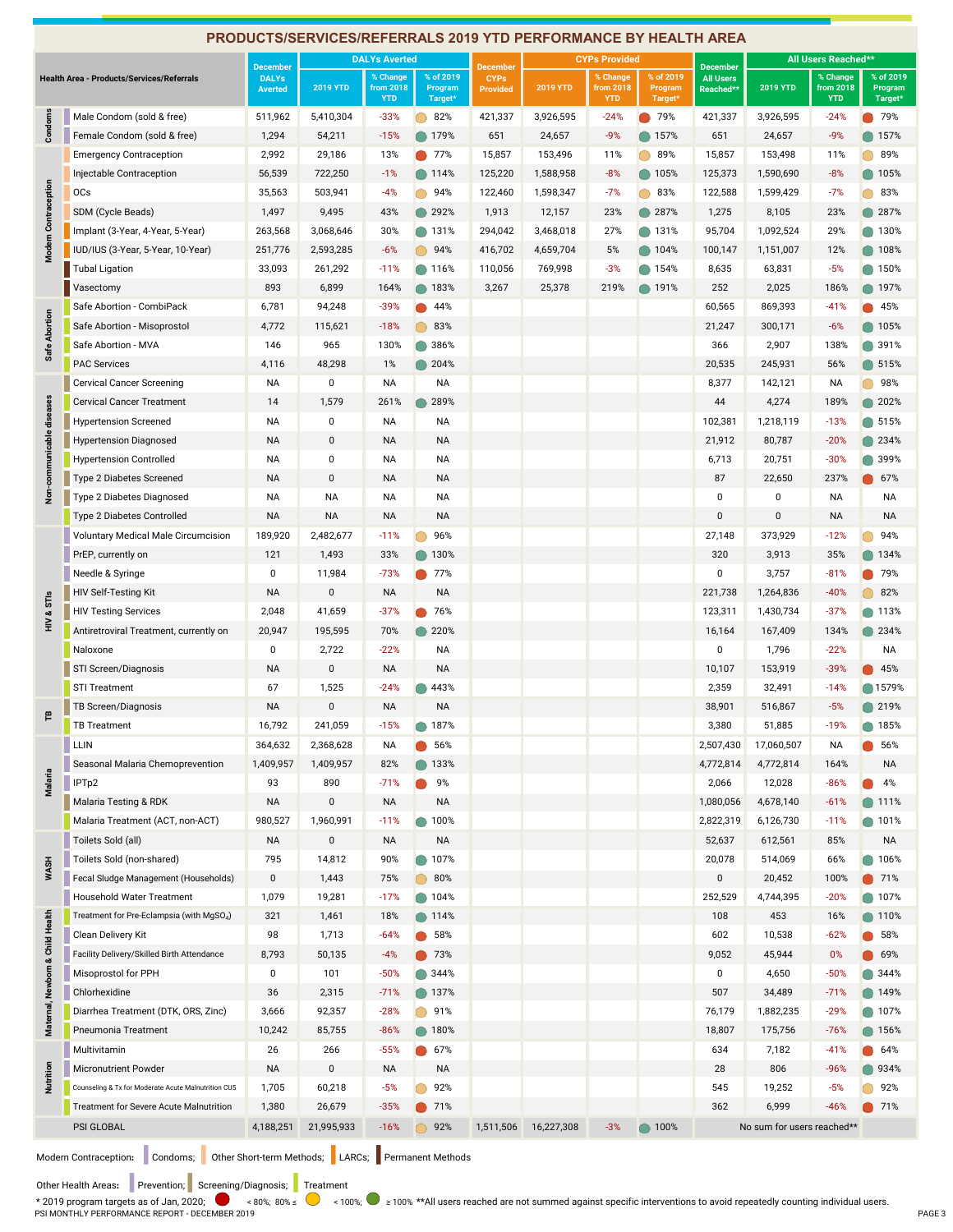|                                  |                                                                                   |                 | PRODUCTS/SERVICES/REFERRALS 2019 YTD PERFORMANCE BY HEALTH AREA                                                                               |                         |                    |                 |                 |                         |                    |                  |                            |                         |                    |
|----------------------------------|-----------------------------------------------------------------------------------|-----------------|-----------------------------------------------------------------------------------------------------------------------------------------------|-------------------------|--------------------|-----------------|-----------------|-------------------------|--------------------|------------------|----------------------------|-------------------------|--------------------|
|                                  |                                                                                   | <b>December</b> |                                                                                                                                               | <b>DALYs Averted</b>    |                    | <b>December</b> |                 | <b>CYPs Provided</b>    |                    | <b>December</b>  |                            | All Users Reached**     |                    |
|                                  | <b>Health Area - Products/Services/Referrals</b>                                  | <b>DALYs</b>    | <b>2019 YTD</b>                                                                                                                               | % Change                | % of 2019          | <b>CYPs</b>     |                 | % Change                | % of 2019          | <b>All Users</b> | <b>2019 YTD</b>            | % Change                | % of 2019          |
|                                  |                                                                                   | <b>Averted</b>  |                                                                                                                                               | from 2018<br><b>YTD</b> | Program<br>Target* | <b>Provided</b> | <b>2019 YTD</b> | from 2018<br><b>YTD</b> | Program<br>Target* | <b>Reached*</b>  |                            | from 2018<br><b>YTD</b> | Program<br>Target* |
| Condoms                          | Male Condom (sold & free)                                                         | 511,962         | 5,410,304                                                                                                                                     | $-33%$                  | 82%                | 421,337         | 3,926,595       | $-24%$                  | 79%                | 421,337          | 3,926,595                  | $-24%$                  | 79%                |
|                                  | Female Condom (sold & free)                                                       | 1,294           | 54,211                                                                                                                                        | $-15%$                  | ● 179%             | 651             | 24,657          | $-9%$                   | 157%               | 651              | 24,657                     | $-9%$                   | ● 157%             |
|                                  | <b>Emergency Contraception</b>                                                    | 2,992           | 29,186                                                                                                                                        | 13%                     | 77%                | 15,857          | 153,496         | 11%                     | 89%                | 15,857           | 153,498                    | 11%                     | 89%                |
|                                  | Injectable Contraception                                                          | 56,539          | 722,250                                                                                                                                       | $-1%$                   | ● 114%             | 125,220         | 1,588,958       | $-8%$                   | ● 105%             | 125,373          | 1,590,690                  | $-8%$                   | $\bullet$ 105%     |
| Modern Contraception             | <b>OCs</b>                                                                        | 35,563          | 503,941                                                                                                                                       | $-4%$                   | ◯ 94%              | 122,460         | 1,598,347       | $-7%$                   | 83%                | 122,588          | 1,599,429                  | $-7%$                   | 83%                |
|                                  | SDM (Cycle Beads)                                                                 | 1,497           | 9,495                                                                                                                                         | 43%                     | 292%               | 1,913           | 12,157          | 23%                     | 287%               | 1,275            | 8,105                      | 23%                     | 287%               |
|                                  | Implant (3-Year, 4-Year, 5-Year)                                                  | 263,568         | 3,068,646                                                                                                                                     | 30%                     | ● 131%             | 294,042         | 3,468,018       | 27%                     | 131%               | 95,704           | 1,092,524                  | 29%                     | ● 130%             |
|                                  | IUD/IUS (3-Year, 5-Year, 10-Year)                                                 | 251,776         | 2,593,285                                                                                                                                     | $-6%$                   | ◯ 94%              | 416,702         | 4,659,704       | 5%                      | 104%               | 100,147          | 1,151,007                  | 12%                     | $\bigcirc$ 108%    |
|                                  | <b>Tubal Ligation</b>                                                             | 33,093          | 261,292                                                                                                                                       | $-11%$                  | 116%               | 110,056         | 769,998         | $-3%$                   | 154%               | 8,635            | 63,831                     | $-5%$                   | 150%               |
|                                  | Vasectomy                                                                         | 893             | 6,899                                                                                                                                         | 164%                    | 183%               | 3,267           | 25,378          | 219%                    | 191%               | 252              | 2,025                      | 186%                    | 197%               |
|                                  | Safe Abortion - CombiPack                                                         | 6,781           | 94,248                                                                                                                                        | $-39%$                  | 44%                |                 |                 |                         |                    | 60,565           | 869,393                    | $-41%$                  | 45%                |
|                                  | Safe Abortion - Misoprostol                                                       | 4,772           | 115,621                                                                                                                                       | $-18%$                  | $\circ$ 83%        |                 |                 |                         |                    | 21,247           | 300,171                    | $-6%$                   | $\bullet$ 105%     |
| Safe Abortion                    | Safe Abortion - MVA                                                               | 146             | 965                                                                                                                                           | 130%                    | 386%               |                 |                 |                         |                    | 366              | 2,907                      | 138%                    | 391%               |
|                                  | <b>PAC Services</b>                                                               | 4,116           | 48,298                                                                                                                                        | 1%                      | 204%               |                 |                 |                         |                    | 20,535           | 245,931                    | 56%                     | $\bigcirc$ 515%    |
|                                  | <b>Cervical Cancer Screening</b>                                                  | NA              | 0                                                                                                                                             | <b>NA</b>               | NA                 |                 |                 |                         |                    | 8,377            | 142,121                    | <b>NA</b>               | 98%                |
|                                  | <b>Cervical Cancer Treatment</b>                                                  | 14              | 1,579                                                                                                                                         | 261%                    | 289%               |                 |                 |                         |                    | 44               | 4,274                      | 189%                    | 202%               |
| communicable diseases            | <b>Hypertension Screened</b>                                                      | NA              | 0                                                                                                                                             | NA                      | NA                 |                 |                 |                         |                    | 102,381          | 1,218,119                  | $-13%$                  | $\bigcirc$ 515%    |
|                                  | <b>Hypertension Diagnosed</b>                                                     | <b>NA</b>       | $\pmb{0}$                                                                                                                                     | <b>NA</b>               | <b>NA</b>          |                 |                 |                         |                    | 21,912           | 80,787                     | $-20%$                  | 234%               |
|                                  | <b>Hypertension Controlled</b>                                                    | NA              | 0                                                                                                                                             | ΝA                      | NA                 |                 |                 |                         |                    | 6,713            | 20,751                     | $-30%$                  | 399%               |
|                                  | Type 2 Diabetes Screened                                                          | <b>NA</b>       | $\mathbf 0$                                                                                                                                   | <b>NA</b>               | <b>NA</b>          |                 |                 |                         |                    | 87               | 22,650                     | 237%                    | 67%                |
| غ<br>R                           | Type 2 Diabetes Diagnosed                                                         | NА              | NA                                                                                                                                            | NA                      | <b>NA</b>          |                 |                 |                         |                    | 0                | $\pmb{0}$                  | <b>NA</b>               | NΑ                 |
|                                  | Type 2 Diabetes Controlled                                                        | <b>NA</b>       | <b>NA</b>                                                                                                                                     | <b>NA</b>               | <b>NA</b>          |                 |                 |                         |                    | $\pmb{0}$        | $\pmb{0}$                  | <b>NA</b>               | <b>NA</b>          |
|                                  | Voluntary Medical Male Circumcision                                               | 189,920         | 2,482,677                                                                                                                                     | $-11%$                  | 96%                |                 |                 |                         |                    | 27,148           | 373,929                    | $-12%$                  | 94%                |
|                                  | PrEP, currently on                                                                | 121             | 1,493                                                                                                                                         | 33%                     | 130%               |                 |                 |                         |                    | 320              | 3,913                      | 35%                     | 134%               |
|                                  | Needle & Syringe                                                                  | 0               | 11,984                                                                                                                                        | $-73%$                  | 77%                |                 |                 |                         |                    | 0                | 3,757                      | $-81%$                  | 79%                |
|                                  | HIV Self-Testing Kit                                                              | <b>NA</b>       | $\pmb{0}$                                                                                                                                     | <b>NA</b>               | <b>NA</b>          |                 |                 |                         |                    | 221,738          | 1,264,836                  | $-40%$                  | 82%                |
| HIV & STIS                       | <b>HIV Testing Services</b>                                                       | 2,048           | 41,659                                                                                                                                        | $-37%$                  | 76%                |                 |                 |                         |                    | 123,311          | 1,430,734                  | $-37%$                  | $\bigcirc$ 113%    |
|                                  | Antiretroviral Treatment, currently on                                            | 20,947          | 195,595                                                                                                                                       | 70%                     | 220%               |                 |                 |                         |                    | 16,164           | 167,409                    | 134%                    | 234%               |
|                                  | Naloxone                                                                          | 0               | 2,722                                                                                                                                         | $-22%$                  | NA                 |                 |                 |                         |                    | 0                | 1,796                      | $-22%$                  | ΝA                 |
|                                  | STI Screen/Diagnosis                                                              | <b>NA</b>       | $\pmb{0}$                                                                                                                                     | <b>NA</b>               | <b>NA</b>          |                 |                 |                         |                    | 10,107           | 153,919                    | $-39%$                  | $\bullet$ 45%      |
|                                  | <b>STI Treatment</b>                                                              | 67              | 1,525                                                                                                                                         | $-24%$                  | 443%               |                 |                 |                         |                    | 2,359            | 32,491                     | $-14%$                  | ◯ 1579%            |
|                                  | TB Screen/Diagnosis                                                               | <b>NA</b>       | $\mathsf 0$                                                                                                                                   | <b>NA</b>               | <b>NA</b>          |                 |                 |                         |                    | 38,901           | 516,867                    | $-5%$                   | <b>219%</b>        |
| ۴                                | TB Treatment                                                                      | 16,792          | 241,059                                                                                                                                       | -15%                    | 187%               |                 |                 |                         |                    | 3,380            | 51,885                     | -19%                    | 185%               |
|                                  | LLIN                                                                              | 364,632         | 2,368,628                                                                                                                                     | ΝA                      | 56%                |                 |                 |                         |                    | 2,507,430        | 17,060,507                 | ΝA                      | 56%                |
|                                  | Seasonal Malaria Chemoprevention                                                  | 1,409,957       | 1,409,957                                                                                                                                     | 82%                     | 133%               |                 |                 |                         |                    | 4,772,814        | 4,772,814                  | 164%                    | NA                 |
| Malaria                          | IPTp2                                                                             | 93              | 890                                                                                                                                           | $-71%$                  | 9%                 |                 |                 |                         |                    | 2,066            | 12,028                     | $-86%$                  | 4%                 |
|                                  | Malaria Testing & RDK                                                             | NA              | $\pmb{0}$                                                                                                                                     | NA                      | <b>NA</b>          |                 |                 |                         |                    | 1,080,056        | 4,678,140                  | $-61%$                  | 111%               |
|                                  | Malaria Treatment (ACT, non-ACT)                                                  | 980,527         | 1,960,991                                                                                                                                     | $-11%$                  | 100%               |                 |                 |                         |                    | 2,822,319        | 6,126,730                  | $-11%$                  | 101%               |
|                                  | Toilets Sold (all)                                                                | <b>NA</b>       | $\pmb{0}$                                                                                                                                     | NA                      | <b>NA</b>          |                 |                 |                         |                    | 52,637           | 612,561                    | 85%                     | <b>NA</b>          |
|                                  | Toilets Sold (non-shared)                                                         | 795             | 14,812                                                                                                                                        | 90%                     | 107%               |                 |                 |                         |                    | 20,078           | 514,069                    | 66%                     | 106%               |
| <b>WASH</b>                      | Fecal Sludge Management (Households)                                              | 0               | 1,443                                                                                                                                         | 75%                     | 80%                |                 |                 |                         |                    | $\pmb{0}$        | 20,452                     | 100%                    | <b>71%</b>         |
|                                  | Household Water Treatment                                                         | 1,079           | 19,281                                                                                                                                        | $-17%$                  | 104%               |                 |                 |                         |                    | 252,529          | 4,744,395                  | $-20%$                  | <b>107%</b>        |
|                                  | Treatment for Pre-Eclampsia (with MgSO <sub>4</sub> )                             | 321             | 1,461                                                                                                                                         | 18%                     | ● 114%             |                 |                 |                         |                    | 108              | 453                        | 16%                     | $\bullet$ 110%     |
|                                  | Clean Delivery Kit                                                                | 98              | 1,713                                                                                                                                         | $-64%$                  | 58%                |                 |                 |                         |                    | 602              | 10,538                     | $-62%$                  | 58%                |
|                                  | Facility Delivery/Skilled Birth Attendance                                        | 8,793           | 50,135                                                                                                                                        | $-4%$                   | $\bullet$ 73%      |                 |                 |                         |                    | 9,052            | 45,944                     | 0%                      | 69%                |
|                                  | Misoprostol for PPH                                                               | 0               | 101                                                                                                                                           | $-50%$                  | 344%               |                 |                 |                         |                    | 0                | 4,650                      | $-50%$                  | 344%               |
| Maternal, Newborn & Child Health | Chlorhexidine                                                                     | 36              | 2,315                                                                                                                                         | $-71%$                  | ● 137%             |                 |                 |                         |                    | 507              | 34,489                     | $-71%$                  | ● 149%             |
|                                  | Diarrhea Treatment (DTK, ORS, Zinc)                                               | 3,666           | 92,357                                                                                                                                        | $-28%$                  | 91%                |                 |                 |                         |                    | 76,179           | 1,882,235                  | $-29%$                  | $\bigcirc$ 107%    |
|                                  | Pneumonia Treatment                                                               | 10,242          | 85,755                                                                                                                                        | $-86%$                  | <b>180%</b>        |                 |                 |                         |                    | 18,807           | 175,756                    | $-76%$                  | $\bigcirc$ 156%    |
|                                  | Multivitamin                                                                      | 26              | 266                                                                                                                                           | $-55%$                  | 67%                |                 |                 |                         |                    | 634              | 7,182                      | $-41%$                  | 64%                |
| Nutrition                        | <b>Micronutrient Powder</b>                                                       | <b>NA</b>       | $\pmb{0}$                                                                                                                                     | <b>NA</b>               | <b>NA</b>          |                 |                 |                         |                    | 28               | 806                        | $-96%$                  | 934%               |
|                                  | Counseling & Tx for Moderate Acute Malnutrition CU5                               | 1,705           | 60,218                                                                                                                                        | $-5%$                   | 92%                |                 |                 |                         |                    | 545              | 19,252                     | $-5%$                   | 92%                |
|                                  | Treatment for Severe Acute Malnutrition                                           | 1,380           | 26,679                                                                                                                                        | $-35%$                  | 71%                |                 |                 |                         |                    | 362              | 6,999                      | $-46%$                  | 21%                |
|                                  | PSI GLOBAL                                                                        | 4,188,251       | 21,995,933                                                                                                                                    | $-16%$                  | 92%                | 1,511,506       | 16,227,308      | $-3%$                   | ● 100%             |                  | No sum for users reached** |                         |                    |
|                                  |                                                                                   |                 |                                                                                                                                               |                         |                    |                 |                 |                         |                    |                  |                            |                         |                    |
|                                  | Modern Contraception: Condoms; Other Short-term Methods; LARCs; Permanent Methods |                 |                                                                                                                                               |                         |                    |                 |                 |                         |                    |                  |                            |                         |                    |
|                                  | Other Health Areas: Prevention; Screening/Diagnosis; Treatment                    |                 |                                                                                                                                               |                         |                    |                 |                 |                         |                    |                  |                            |                         |                    |
|                                  | $*$ 2019 program targets as of Jan, 2020;                                         |                 | <80%; 80% ≤ ● <100%; ● ≥100% **All users reached are not summed against specific interventions to avoid repeatedly counting individual users. |                         |                    |                 |                 |                         |                    |                  |                            |                         |                    |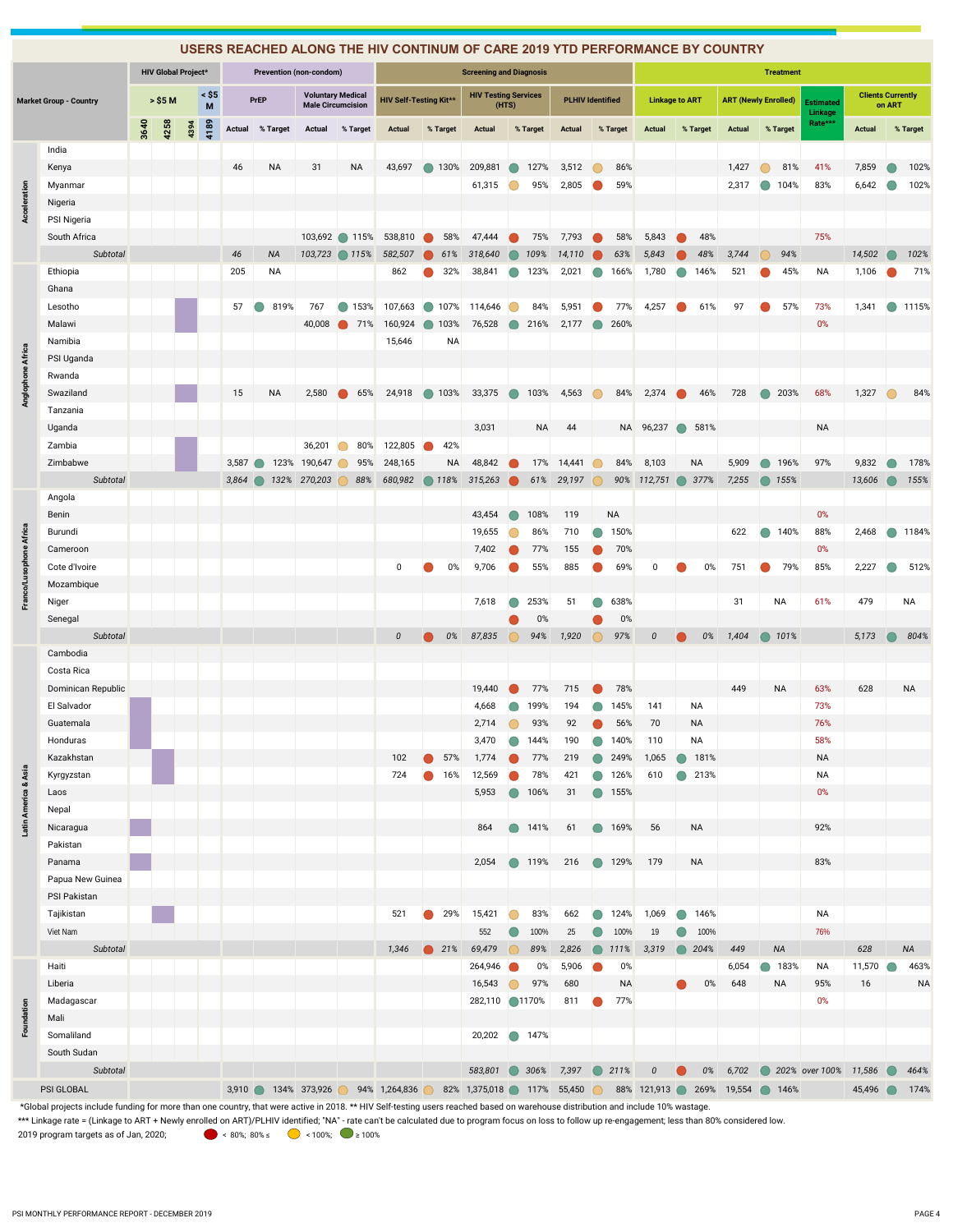|                         |                               |      |                            |      |                 |        |           |                         |                                                      | USERS REACHED ALONG THE HIV CONTINUM OF CARE 2019 YTD PERFORMANCE BY COUNTRY |                        |                                |            |               |                         |            |                  |                       |   |           |                         |                             |                    |                          |            |           |
|-------------------------|-------------------------------|------|----------------------------|------|-----------------|--------|-----------|-------------------------|------------------------------------------------------|------------------------------------------------------------------------------|------------------------|--------------------------------|------------|---------------|-------------------------|------------|------------------|-----------------------|---|-----------|-------------------------|-----------------------------|--------------------|--------------------------|------------|-----------|
|                         |                               |      | <b>HIV Global Project*</b> |      |                 |        |           | Prevention (non-condom) |                                                      |                                                                              |                        | <b>Screening and Diagnosis</b> |            |               |                         |            |                  |                       |   |           |                         | <b>Treatment</b>            |                    |                          |            |           |
|                         | <b>Market Group - Country</b> |      | > \$5 M                    |      | $\leq$ \$5<br>M |        | PrEP      |                         | <b>Voluntary Medical</b><br><b>Male Circumcision</b> | <b>HIV Self-Testing Kit**</b>                                                |                        | <b>HIV Testing Services</b>    | (HTS)      |               | <b>PLHIV Identified</b> |            |                  | <b>Linkage to ART</b> |   |           |                         | <b>ART (Newly Enrolled)</b> | Estimated          | <b>Clients Currently</b> | on ART     |           |
|                         |                               | 3640 | 4258                       | 4394 | 4189            | Actual | % Target  | Actual                  | % Target                                             | <b>Actual</b>                                                                | % Target               | Actual                         |            | % Target      | Actual                  |            | % Target         | <b>Actual</b>         |   | % Target  | Actual                  | % Target                    | Linkage<br>Rate*** | <b>Actual</b>            |            | % Target  |
|                         |                               |      |                            |      |                 |        |           |                         |                                                      |                                                                              |                        |                                |            |               |                         |            |                  |                       |   |           |                         |                             |                    |                          |            |           |
|                         | India<br>Kenya                |      |                            |      |                 | 46     | NA        | 31                      | <b>NA</b>                                            | 43,697                                                                       | ● 130%                 | 209,881                        |            | 127%          | 3,512                   |            | 86%              |                       |   |           | 1,427                   | 81%                         | 41%                | 7,859                    |            | 102%      |
|                         | Myanmar                       |      |                            |      |                 |        |           |                         |                                                      |                                                                              |                        | 61,315                         |            | 95%           | 2,805                   |            | 59%              |                       |   |           | 2,317                   | 104%                        | 83%                | 6,642                    |            | 102%      |
| Acceleration            | Nigeria                       |      |                            |      |                 |        |           |                         |                                                      |                                                                              |                        |                                |            |               |                         |            |                  |                       |   |           |                         |                             |                    |                          |            |           |
|                         | PSI Nigeria                   |      |                            |      |                 |        |           |                         |                                                      |                                                                              |                        |                                |            |               |                         |            |                  |                       |   |           |                         |                             |                    |                          |            |           |
|                         | South Africa                  |      |                            |      |                 |        |           |                         | 103,692 115%                                         | 538,810                                                                      | 58%                    | 47,444                         |            | 75%           | 7,793                   |            | 58%              | 5,843                 |   | 48%       |                         |                             | 75%                |                          |            |           |
|                         | Subtotal                      |      |                            |      |                 | 46     | <b>NA</b> | 103,723                 | $\bigcirc$ 115%                                      | 582,507                                                                      | 61%                    | 318,640                        |            | 109%          | 14,110                  |            | 63%              | 5,843                 |   | 48%       | 3,744                   | 94%                         |                    | 14,502                   |            | 102%      |
|                         | Ethiopia                      |      |                            |      |                 | 205    | <b>NA</b> |                         |                                                      | 862                                                                          | 32%                    | 38,841                         |            | 123%          | 2,021                   | $\bigcirc$ | 166%             | 1,780                 |   | 146%      | 521                     | 45%                         | <b>NA</b>          | 1,106                    |            | 71%       |
|                         | Ghana                         |      |                            |      |                 |        |           |                         |                                                      |                                                                              |                        |                                |            |               |                         |            |                  |                       |   |           |                         |                             |                    |                          |            |           |
|                         | Lesotho                       |      |                            |      |                 | 57     | 819%      | 767                     | 153%                                                 | 107,663                                                                      | 107%<br>$\blacksquare$ | 114,646                        |            | 84%           | 5,951                   |            | 77%              | 4,257                 |   | 61%       | 97                      | 57%                         | 73%                | 1,341                    | $\bigcirc$ | 1115%     |
|                         | Malawi                        |      |                            |      |                 |        |           | 40,008                  | 71%                                                  | 160,924                                                                      | 103%                   | 76,528                         |            | 216%          | 2,177                   |            | 260%             |                       |   |           |                         |                             | 0%                 |                          |            |           |
|                         | Namibia                       |      |                            |      |                 |        |           |                         |                                                      | 15,646                                                                       | NA                     |                                |            |               |                         |            |                  |                       |   |           |                         |                             |                    |                          |            |           |
|                         | PSI Uganda                    |      |                            |      |                 |        |           |                         |                                                      |                                                                              |                        |                                |            |               |                         |            |                  |                       |   |           |                         |                             |                    |                          |            |           |
|                         | Rwanda                        |      |                            |      |                 |        |           |                         |                                                      |                                                                              |                        |                                |            |               |                         |            |                  |                       |   |           |                         |                             |                    |                          |            |           |
| Anglophone Africa       | Swaziland                     |      |                            |      |                 | 15     | <b>NA</b> | 2,580                   | 65%                                                  | 24,918                                                                       | ● 103%                 | 33,375                         | $\bigcirc$ | 103%          | 4,563                   |            | 84%              | 2,374                 |   | 46%       | 728                     | 203%<br>$\bigcirc$          | 68%                | 1,327                    | $\bigcirc$ | 84%       |
|                         | Tanzania                      |      |                            |      |                 |        |           |                         |                                                      |                                                                              |                        |                                |            |               |                         |            |                  |                       |   |           |                         |                             |                    |                          |            |           |
|                         | Uganda                        |      |                            |      |                 |        |           |                         |                                                      |                                                                              |                        | 3,031                          |            | <b>NA</b>     | 44                      |            |                  | NA 96,237             | ◠ | 581%      |                         |                             | NA                 |                          |            |           |
|                         | Zambia                        |      |                            |      |                 |        |           | 36,201                  | 80%                                                  | 122,805                                                                      | 42%                    |                                |            |               |                         |            |                  |                       |   |           |                         |                             |                    |                          |            |           |
|                         | Zimbabwe                      |      |                            |      |                 | 3,587  | $\bullet$ | 123% 190,647            | 95%                                                  | 248,165                                                                      | <b>NA</b>              | 48,842                         |            | 17%           | 14,441                  |            | 84%              | 8,103                 |   | <b>NA</b> | 5,909                   | 196%                        | 97%                | 9,832                    |            | 178%      |
|                         | Subtotal                      |      |                            |      |                 | 3,864  |           | 132% 270,203            | 88%                                                  | 680,982                                                                      | ◯ 118%                 | 315,263                        |            | 61%           | 29,197                  |            |                  | 90% 112,751           | ◠ | 377%      | 7,255                   | 155%                        |                    | 13,606                   |            | 155%      |
|                         | Angola                        |      |                            |      |                 |        |           |                         |                                                      |                                                                              |                        |                                |            |               |                         |            |                  |                       |   |           |                         |                             |                    |                          |            |           |
|                         | Benin                         |      |                            |      |                 |        |           |                         |                                                      |                                                                              |                        | 43,454                         |            | 108%          | 119                     |            | <b>NA</b>        |                       |   |           |                         |                             | 0%                 |                          |            |           |
|                         | Burundi                       |      |                            |      |                 |        |           |                         |                                                      |                                                                              |                        | 19,655                         |            | 86%           | 710                     |            | 150%             |                       |   |           | 622                     | 140%<br>$\bullet$           | 88%                | 2,468                    | $\bigcirc$ | 1184%     |
| Franco/Lusophone Africa | Cameroon                      |      |                            |      |                 |        |           |                         |                                                      |                                                                              |                        | 7,402                          |            | 77%           | 155                     |            | 70%              |                       |   |           |                         |                             | 0%                 |                          |            |           |
|                         | Cote d'Ivoire                 |      |                            |      |                 |        |           |                         |                                                      | 0                                                                            | 0%                     | 9,706                          |            | 55%           | 885                     |            | 69%              | 0                     |   | 0%        | 751                     | 79%                         | 85%                | 2,227                    |            | 512%      |
|                         | Mozambique                    |      |                            |      |                 |        |           |                         |                                                      |                                                                              |                        |                                |            |               |                         |            |                  |                       |   |           |                         |                             |                    |                          |            |           |
|                         | Niger                         |      |                            |      |                 |        |           |                         |                                                      |                                                                              |                        | 7,618                          |            | 253%          | 51                      |            | 638%             |                       |   |           | 31                      | NA                          | 61%                | 479                      |            | ΝA        |
|                         | Senegal                       |      |                            |      |                 |        |           |                         |                                                      |                                                                              |                        |                                |            | 0%            |                         |            | 0%               |                       |   |           |                         |                             |                    |                          |            |           |
|                         | Subtotal                      |      |                            |      |                 |        |           |                         |                                                      | $\pmb{\mathit{0}}$                                                           | 0%                     | 87,835                         |            | 94%           | 1,920                   |            | 97%              | $\boldsymbol{0}$      |   | 0%        | 1,404                   | 101%                        |                    | 5,173                    |            | 804%      |
|                         | Cambodia                      |      |                            |      |                 |        |           |                         |                                                      |                                                                              |                        |                                |            |               |                         |            |                  |                       |   |           |                         |                             |                    |                          |            |           |
|                         | Costa Rica                    |      |                            |      |                 |        |           |                         |                                                      |                                                                              |                        |                                |            |               |                         |            |                  |                       |   |           |                         |                             |                    |                          |            |           |
|                         | Dominican Republic            |      |                            |      |                 |        |           |                         |                                                      |                                                                              |                        | 19,440                         |            | 77%           | 715                     |            | 78%              |                       |   |           | 449                     | <b>NA</b>                   | 63%                | 628                      |            | <b>NA</b> |
|                         | El Salvador                   |      |                            |      |                 |        |           |                         |                                                      |                                                                              |                        | 4,668                          |            | 199%          | 194                     |            | 145%             | 141                   |   | <b>NA</b> |                         |                             | 73%                |                          |            |           |
|                         | Guatemala                     |      |                            |      |                 |        |           |                         |                                                      |                                                                              |                        | 2,714                          |            | 93%           | 92                      |            | 56%              | 70                    |   | <b>NA</b> |                         |                             | 76%                |                          |            |           |
|                         | Honduras                      |      |                            |      |                 |        |           |                         |                                                      |                                                                              |                        | 3,470                          |            | 144%          | 190                     |            | 140%             | 110                   |   | NA        |                         |                             | 58%                |                          |            |           |
|                         | Kazakhstan                    |      |                            |      |                 |        |           |                         |                                                      | 102                                                                          | 57%                    | 1,774                          |            | 77%           | 219                     |            | 249%             | 1,065                 |   | 181%      |                         |                             | NA                 |                          |            |           |
|                         | Kyrgyzstan                    |      |                            |      |                 |        |           |                         |                                                      | 724                                                                          | 16%                    | 12,569                         |            | 78%           | 421                     | $\bullet$  | 126%             | 610                   |   | 213%      |                         |                             | NA                 |                          |            |           |
|                         | Laos                          |      |                            |      |                 |        |           |                         |                                                      |                                                                              |                        | 5,953                          |            | 106%          | 31                      | $\bullet$  | 155%             |                       |   |           |                         |                             | 0%                 |                          |            |           |
| Latin America & Asia    | Nepal                         |      |                            |      |                 |        |           |                         |                                                      |                                                                              |                        |                                |            |               |                         |            |                  |                       |   |           |                         |                             |                    |                          |            |           |
|                         | Nicaragua                     |      |                            |      |                 |        |           |                         |                                                      |                                                                              |                        | 864                            |            | ● 141%        | 61                      |            | ● 169%           | 56                    |   | <b>NA</b> |                         |                             | 92%                |                          |            |           |
|                         | Pakistan                      |      |                            |      |                 |        |           |                         |                                                      |                                                                              |                        |                                |            |               |                         |            |                  |                       |   |           |                         |                             |                    |                          |            |           |
|                         | Panama                        |      |                            |      |                 |        |           |                         |                                                      |                                                                              |                        | 2,054                          |            | ● 119%        | 216                     |            | ● 129%           | 179                   |   | <b>NA</b> |                         |                             | 83%                |                          |            |           |
|                         | Papua New Guinea              |      |                            |      |                 |        |           |                         |                                                      |                                                                              |                        |                                |            |               |                         |            |                  |                       |   |           |                         |                             |                    |                          |            |           |
|                         | PSI Pakistan                  |      |                            |      |                 |        |           |                         |                                                      |                                                                              |                        |                                |            |               |                         |            |                  |                       |   |           |                         |                             |                    |                          |            |           |
|                         | Tajikistan                    |      |                            |      |                 |        |           |                         |                                                      | 521                                                                          | 29%                    | 15,421                         | $\bigcirc$ | 83%           | 662                     | $\bigcirc$ | 124%             | 1,069                 |   | 146%      |                         |                             | <b>NA</b>          |                          |            |           |
|                         | Viet Nam                      |      |                            |      |                 |        |           |                         |                                                      |                                                                              |                        | 552                            |            | 100%          | 25                      |            | 100%             | 19                    |   | 100%      |                         |                             | 76%                |                          |            |           |
|                         | Subtotal                      |      |                            |      |                 |        |           |                         |                                                      | 1,346                                                                        | $\bullet$ 21%          | 69,479                         |            | 89%           | 2,826                   |            | 111%             | 3,319                 |   | 204%      | 449                     | <b>NA</b>                   |                    | 628                      |            | <b>NA</b> |
|                         | Haiti                         |      |                            |      |                 |        |           |                         |                                                      |                                                                              |                        | 264,946                        |            | 0%            | 5,906                   |            | 0%               |                       |   |           | 6,054                   | 183%                        | <b>NA</b>          | 11,570                   |            | 463%      |
|                         | Liberia<br>Madagascar         |      |                            |      |                 |        |           |                         |                                                      |                                                                              |                        | 16,543<br>282,110              |            | 97%<br>◯1170% | 680<br>811              |            | <b>NA</b><br>77% |                       |   | $0\%$     | 648                     | <b>NA</b>                   | 95%<br>0%          | 16                       |            | <b>NA</b> |
|                         | Mali                          |      |                            |      |                 |        |           |                         |                                                      |                                                                              |                        |                                |            |               |                         |            |                  |                       |   |           |                         |                             |                    |                          |            |           |
| Foundation              | Somaliland                    |      |                            |      |                 |        |           |                         |                                                      |                                                                              |                        | 20,202                         |            | ● 147%        |                         |            |                  |                       |   |           |                         |                             |                    |                          |            |           |
|                         | South Sudan                   |      |                            |      |                 |        |           |                         |                                                      |                                                                              |                        |                                |            |               |                         |            |                  |                       |   |           |                         |                             |                    |                          |            |           |
|                         | Subtotal                      |      |                            |      |                 |        |           |                         |                                                      |                                                                              |                        | 583,801                        |            | 306%          | 7,397                   | $\bullet$  | 211%             | $\pmb{\mathit{0}}$    |   | 0%        | 6,702                   |                             | 202% over 100%     | 11,586                   |            | 464%      |
|                         | PSI GLOBAL                    |      |                            |      |                 |        |           |                         |                                                      | 3,910 134% 373,926 94% 1,264,836                                             |                        | 82% 1,375,018 117% 55,450      |            |               |                         | $\circ$    |                  |                       |   |           | 88% 121,913 269% 19,554 | 146%                        |                    | 45,496                   |            | 174%      |
|                         |                               |      |                            |      |                 |        |           |                         |                                                      |                                                                              |                        |                                |            |               |                         |            |                  |                       |   |           |                         |                             |                    |                          |            |           |

\*Global projects include funding for more than one country, that were active in 2018. \*\* HIV Self-testing users reached based on warehouse distribution and include 10% wastage.

\*\*\* Linkage rate = (Linkage to ART + Newly enrolled on ART)/PLHIV identified; "NA" - rate can't be calculated due to program focus on loss to follow up re-engagement; less than 80% considered low.

2019 program targets as of Jan, 2020;  $\bullet$  80%; 80% ≤  $\bullet$  < 100%;  $\bullet$  ≥ 100%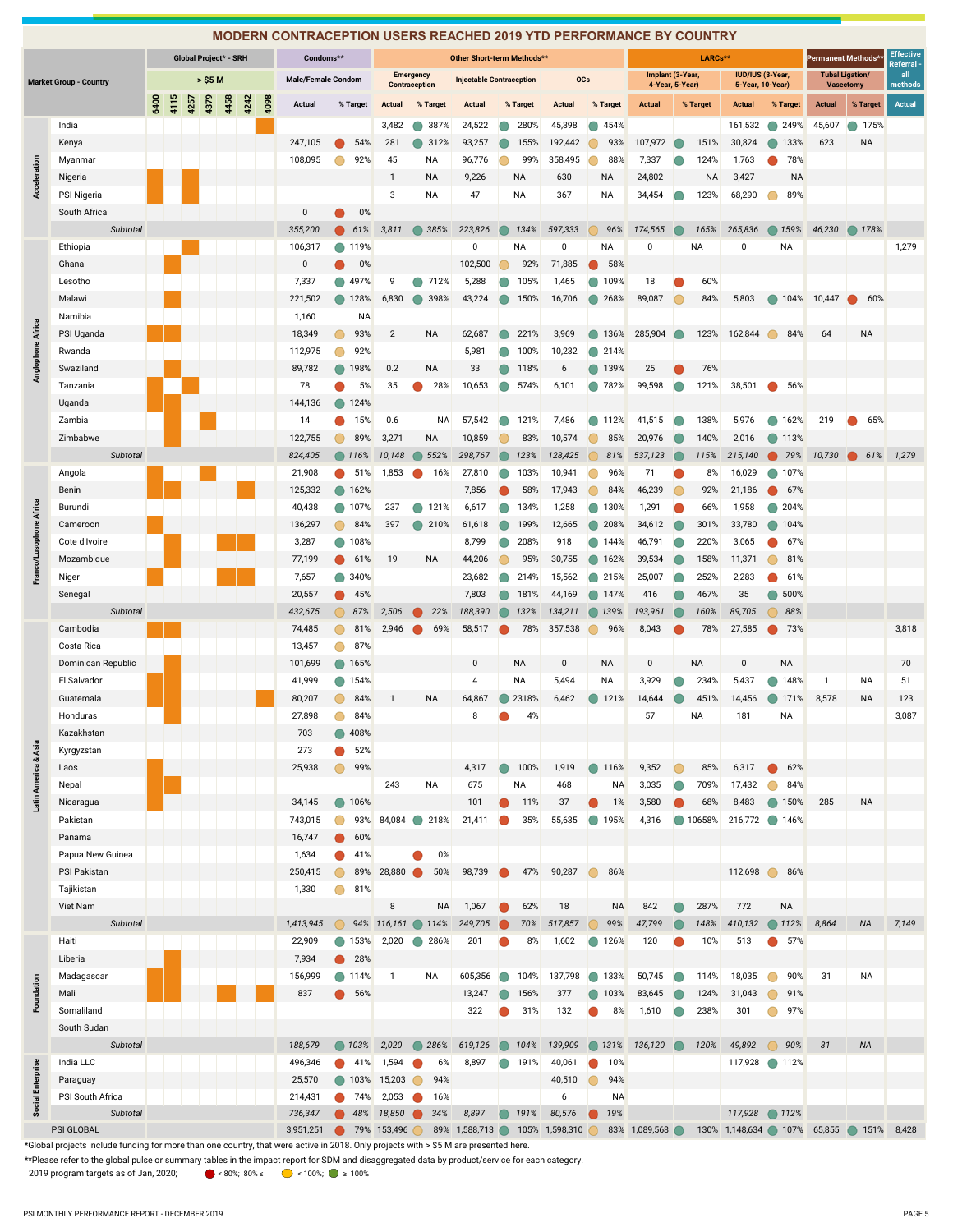|                         |                                                                                                                                                                                                                                                                                        |      |      |      |         |                       |      |      | <b>MODERN CONTRACEPTION USERS REACHED 2019 YTD PERFORMANCE BY COUNTRY</b> |                        |                      |                  |                   |                                 |             |                |                |                  |                                     |              |                                      |                    |                                |                                            |                              |
|-------------------------|----------------------------------------------------------------------------------------------------------------------------------------------------------------------------------------------------------------------------------------------------------------------------------------|------|------|------|---------|-----------------------|------|------|---------------------------------------------------------------------------|------------------------|----------------------|------------------|-------------------|---------------------------------|-------------|----------------|----------------|------------------|-------------------------------------|--------------|--------------------------------------|--------------------|--------------------------------|--------------------------------------------|------------------------------|
|                         |                                                                                                                                                                                                                                                                                        |      |      |      |         | Global Project* - SRH |      |      | Condoms**                                                                 |                        |                      |                  |                   | Other Short-term Methods**      |             |                |                |                  |                                     | LARCs**      |                                      |                    | Permanent Methods <sup>®</sup> |                                            | <b>Effective</b><br>Referral |
|                         | <b>Market Group - Country</b>                                                                                                                                                                                                                                                          |      |      |      | > \$5 M |                       |      |      | <b>Male/Female Condom</b>                                                 |                        | <b>Contraception</b> | <b>Emergency</b> |                   | <b>Injectable Contraception</b> |             | <b>OCs</b>     |                |                  | Implant (3-Year,<br>4-Year, 5-Year) |              | IUD/IUS (3-Year,<br>5-Year, 10-Year) |                    |                                | <b>Tubal Ligation/</b><br><b>Vasectomy</b> | all<br>methods               |
|                         |                                                                                                                                                                                                                                                                                        | 6400 | 4115 | 4257 | 4379    | 4458                  | 4242 | 4098 |                                                                           | % Target               | Actual               |                  | % Target          | Actual                          | % Target    | Actual         |                | % Target         | <b>Actual</b>                       | % Target     | <b>Actual</b>                        | % Target           | <b>Actual</b>                  | % Target                                   | <b>Actual</b>                |
|                         |                                                                                                                                                                                                                                                                                        |      |      |      |         |                       |      |      | Actual                                                                    |                        |                      |                  |                   |                                 |             |                |                |                  |                                     |              |                                      |                    |                                |                                            |                              |
|                         | India                                                                                                                                                                                                                                                                                  |      |      |      |         |                       |      |      |                                                                           |                        | 3,482                |                  | 387%              | 24,522                          | 280%        | 45,398         |                | 454%             |                                     |              | 161,532                              | 249%               | 45,607                         | 175%                                       |                              |
|                         | Kenya                                                                                                                                                                                                                                                                                  |      |      |      |         |                       |      |      | 247,105                                                                   | 54%                    | 281                  |                  | 312%              | 93,257                          | 155%        | 192,442        |                | 93%              | 107,972                             | 151%<br>124% | 30,824                               | 133%               | 623                            | NA                                         |                              |
|                         | Myanmar                                                                                                                                                                                                                                                                                |      |      |      |         |                       |      |      | 108,095                                                                   | 92%                    | 45<br>$\mathbf{1}$   |                  | ΝA<br>NA          | 96,776<br>9,226                 | 99%<br>NA   | 358,495<br>630 |                | 88%<br><b>NA</b> | 7,337<br>24,802                     | <b>NA</b>    | 1,763<br>3,427                       | 78%<br><b>NA</b>   |                                |                                            |                              |
| Acceleration            | Nigeria<br>PSI Nigeria                                                                                                                                                                                                                                                                 |      |      |      |         |                       |      |      |                                                                           |                        | 3                    |                  | <b>NA</b>         | 47                              | <b>NA</b>   | 367            |                | <b>NA</b>        | 34,454                              | 123%         | 68,290                               | 89%                |                                |                                            |                              |
|                         | South Africa                                                                                                                                                                                                                                                                           |      |      |      |         |                       |      |      | $\mathbf 0$                                                               | 0%                     |                      |                  |                   |                                 |             |                |                |                  |                                     |              |                                      |                    |                                |                                            |                              |
|                         | Subtotal                                                                                                                                                                                                                                                                               |      |      |      |         |                       |      |      | 355,200                                                                   | 61%                    | 3,811                |                  | 385%              | 223,826                         | 134%        | 597,333        |                | 96%              | 174,565                             | 165%         | 265,836                              | 159%               | 46,230                         | ◯ 178%                                     |                              |
|                         | Ethiopia                                                                                                                                                                                                                                                                               |      |      |      |         |                       |      |      | 106,317                                                                   | 119%                   |                      |                  |                   | 0                               | NA          | 0              |                | NA               | 0                                   | <b>NA</b>    | 0                                    | NA                 |                                |                                            | 1,279                        |
|                         | Ghana                                                                                                                                                                                                                                                                                  |      |      |      |         |                       |      |      | 0                                                                         | 0%                     |                      |                  |                   | 102,500                         | 92%         | 71,885         |                | 58%              |                                     |              |                                      |                    |                                |                                            |                              |
|                         | Lesotho                                                                                                                                                                                                                                                                                |      |      |      |         |                       |      |      | 7,337                                                                     | 497%                   | 9                    |                  | 712%              | 5,288                           | 105%        | 1,465          |                | 109%             | 18                                  | 60%          |                                      |                    |                                |                                            |                              |
|                         | Malawi                                                                                                                                                                                                                                                                                 |      |      |      |         |                       |      |      | 221,502                                                                   | 128%                   | 6,830                |                  | 398%              | 43,224                          | 150%        | 16,706         |                | 268%             | 89,087                              | 84%          | 5,803                                | ● 104%             | 10,447                         | 60%                                        |                              |
|                         | Namibia                                                                                                                                                                                                                                                                                |      |      |      |         |                       |      |      | 1,160                                                                     | <b>NA</b>              |                      |                  |                   |                                 |             |                |                |                  |                                     |              |                                      |                    |                                |                                            |                              |
| Anglophone Africa       | PSI Uganda                                                                                                                                                                                                                                                                             |      |      |      |         |                       |      |      | 18,349                                                                    | 93%<br>Ω               | $\overline{2}$       |                  | <b>NA</b>         | 62,687                          | 221%        | 3,969          |                | 136%             | 285,904                             | 123%         | 162,844                              | 84%                | 64                             | <b>NA</b>                                  |                              |
|                         | Rwanda                                                                                                                                                                                                                                                                                 |      |      |      |         |                       |      |      | 112,975                                                                   | 92%                    |                      |                  |                   | 5,981                           | 100%        | 10,232         | ⋒              | 214%             |                                     |              |                                      |                    |                                |                                            |                              |
|                         | Swaziland                                                                                                                                                                                                                                                                              |      |      |      |         |                       |      |      | 89,782                                                                    | 198%<br>⋒              | 0.2                  |                  | <b>NA</b>         | 33                              | 118%        | 6              |                | 139%             | 25                                  | 76%          |                                      |                    |                                |                                            |                              |
|                         | Tanzania                                                                                                                                                                                                                                                                               |      |      |      |         |                       |      |      | 78                                                                        | 5%                     | 35                   |                  | 28%               | 10,653                          | 574%        | 6,101          | œ              | 782%             | 99,598                              | 121%         | 38,501                               | 56%                |                                |                                            |                              |
|                         | Uganda                                                                                                                                                                                                                                                                                 |      |      |      |         |                       |      |      | 144,136                                                                   | 124%                   |                      |                  |                   |                                 |             |                |                |                  |                                     |              |                                      |                    |                                |                                            |                              |
|                         | Zambia                                                                                                                                                                                                                                                                                 |      |      |      |         |                       |      |      | 14                                                                        | 15%                    | 0.6                  |                  | <b>NA</b>         | 57,542                          | 121%        | 7,486          |                | 112%             | 41,515                              | 138%         | 5,976                                | 162%               | 219                            | 65%                                        |                              |
|                         | Zimbabwe                                                                                                                                                                                                                                                                               |      |      |      |         |                       |      |      | 122,755                                                                   | 89%                    | 3,271                |                  | <b>NA</b>         | 10,859                          | 83%         | 10,574         |                | 85%              | 20,976                              | 140%         | 2,016                                | 113%<br>o          |                                |                                            |                              |
|                         | Subtotal                                                                                                                                                                                                                                                                               |      |      |      |         |                       |      |      | 824,405                                                                   | 116%                   | 10,148               |                  | 552%              | 298,767                         | 123%        | 128,425        |                | 81%              | 537,123                             | 115%         | 215,140                              | 79%                | 10,730                         | 61%                                        | 1,279                        |
|                         | Angola                                                                                                                                                                                                                                                                                 |      |      |      |         |                       |      |      | 21,908                                                                    | 51%                    | 1,853                |                  | 16%               | 27,810                          | 103%        | 10,941         |                | 96%              | 71                                  | 8%           | 16,029                               | 107%               |                                |                                            |                              |
|                         | Benin                                                                                                                                                                                                                                                                                  |      |      |      |         |                       |      |      | 125,332                                                                   | 162%                   |                      |                  |                   | 7,856                           | 58%         | 17,943         |                | 84%              | 46,239                              | 92%          | 21,186                               | 67%                |                                |                                            |                              |
|                         | Burundi                                                                                                                                                                                                                                                                                |      |      |      |         |                       |      |      | 40,438                                                                    | 107%                   | 237                  |                  | 121%              | 6,617                           | 134%        | 1,258          |                | 130%             | 1,291                               | 66%          | 1,958                                | 204%               |                                |                                            |                              |
| Franco/Lusophone Africa | Cameroon                                                                                                                                                                                                                                                                               |      |      |      |         |                       |      |      | 136,297                                                                   | 84%                    | 397                  |                  | 210%              | 61,618                          | 199%        | 12,665         |                | 208%             | 34,612                              | 301%         | 33,780                               | 104%               |                                |                                            |                              |
|                         | Cote d'Ivoire<br>Mozambique                                                                                                                                                                                                                                                            |      |      |      |         |                       |      |      | 3,287<br>77,199                                                           | 108%                   | 19                   |                  | <b>NA</b>         | 8,799<br>44,206                 | 208%<br>95% | 918<br>30,755  |                | 144%<br>162%     | 46,791<br>39,534                    | 220%<br>158% | 3,065<br>11,371                      | 67%<br>81%         |                                |                                            |                              |
|                         | Niger                                                                                                                                                                                                                                                                                  |      |      |      |         |                       |      |      | 7,657                                                                     | 61%<br>340%            |                      |                  |                   | 23,682                          | 214%        | 15,562         |                | 215%             | 25,007                              | 252%         | 2,283                                | 61%                |                                |                                            |                              |
|                         | Senegal                                                                                                                                                                                                                                                                                |      |      |      |         |                       |      |      | 20,557                                                                    | 45%<br>⋒               |                      |                  |                   | 7,803                           | 181%        | 44,169         | $\blacksquare$ | 147%             | 416                                 | 467%         | 35                                   | 500%               |                                |                                            |                              |
|                         | Subtotal                                                                                                                                                                                                                                                                               |      |      |      |         |                       |      |      | 432,675                                                                   | 87%                    | 2,506                |                  | 22%               | 188,390                         | 132%        | 134,211        |                | 139%             | 193,961                             | 160%         | 89,705                               | 88%                |                                |                                            |                              |
|                         | Cambodia                                                                                                                                                                                                                                                                               |      |      |      |         |                       |      |      | 74,485                                                                    | 81%                    | 2,946                |                  | 69%               | 58,517                          | 78%         | 357,538        |                | 96%              | 8,043                               | 78%          | 27,585                               | 73%                |                                |                                            | 3,818                        |
|                         | Costa Rica                                                                                                                                                                                                                                                                             |      |      |      |         |                       |      |      | 13,457                                                                    | 87%<br>n               |                      |                  |                   |                                 |             |                |                |                  |                                     |              |                                      |                    |                                |                                            |                              |
|                         | Dominican Republic                                                                                                                                                                                                                                                                     |      |      |      |         |                       |      |      | 101,699                                                                   | 165%                   |                      |                  |                   | $\mathbf 0$                     | <b>NA</b>   | $\mathbf 0$    |                | <b>NA</b>        | $\mathbf 0$                         | <b>NA</b>    | $\mathbf 0$                          | <b>NA</b>          |                                |                                            | 70                           |
|                         | El Salvador                                                                                                                                                                                                                                                                            |      |      |      |         |                       |      |      | 41,999                                                                    | 154%                   |                      |                  |                   | $\overline{4}$                  | NA          | 5,494          |                | <b>NA</b>        | 3,929                               | 234%         | 5,437                                | 148%               | $\mathbf{1}$                   | NA                                         | 51                           |
|                         | Guatemala                                                                                                                                                                                                                                                                              |      |      |      |         |                       |      |      | 80,207                                                                    | 84%                    | $\mathbf{1}$         |                  | <b>NA</b>         | 64,867                          | 2318%       | 6,462          |                | 121%             | 14,644                              | 451%         | 14,456                               | 171%               | 8,578                          | NA                                         | 123                          |
|                         | Honduras                                                                                                                                                                                                                                                                               |      |      |      |         |                       |      |      | 27,898                                                                    | 84%<br>◯               |                      |                  |                   | 8                               | 4%          |                |                |                  | 57                                  | <b>NA</b>    | 181                                  | NA                 |                                |                                            | 3,087                        |
|                         | Kazakhstan                                                                                                                                                                                                                                                                             |      |      |      |         |                       |      |      | 703                                                                       | 408%                   |                      |                  |                   |                                 |             |                |                |                  |                                     |              |                                      |                    |                                |                                            |                              |
|                         | Kyrgyzstan                                                                                                                                                                                                                                                                             |      |      |      |         |                       |      |      | 273                                                                       | 52%                    |                      |                  |                   |                                 |             |                |                |                  |                                     |              |                                      |                    |                                |                                            |                              |
| Latin America & Asia    | Laos                                                                                                                                                                                                                                                                                   |      |      |      |         |                       |      |      | 25,938                                                                    | 99%                    |                      |                  |                   | 4,317                           | 100%        | 1,919          |                | ● 116%           | 9,352                               | 85%          | 6,317                                | 62%                |                                |                                            |                              |
|                         | Nepal                                                                                                                                                                                                                                                                                  |      |      |      |         |                       |      |      |                                                                           |                        | 243                  |                  | NA                | 675                             | <b>NA</b>   | 468            |                | <b>NA</b>        | 3,035                               | 709%         | 17,432                               | 84%                |                                |                                            |                              |
|                         | Nicaragua                                                                                                                                                                                                                                                                              |      |      |      |         |                       |      |      | 34,145                                                                    | ● 106%                 |                      |                  |                   | 101                             | 11%         | 37             |                | 1%               | 3,580                               | 68%          | 8,483                                | 150%<br>$\bullet$  | 285                            | <b>NA</b>                                  |                              |
|                         | Pakistan                                                                                                                                                                                                                                                                               |      |      |      |         |                       |      |      | 743,015                                                                   | ∩<br>93%               | 84,084               |                  | 218%              | 21,411                          | 35%         | 55,635         | $\bullet$      | 195%             | 4,316                               | 10658%       | 216,772                              | $\bigcirc$<br>146% |                                |                                            |                              |
|                         | Panama                                                                                                                                                                                                                                                                                 |      |      |      |         |                       |      |      | 16,747                                                                    | 60%                    |                      |                  |                   |                                 |             |                |                |                  |                                     |              |                                      |                    |                                |                                            |                              |
|                         | Papua New Guinea                                                                                                                                                                                                                                                                       |      |      |      |         |                       |      |      | 1,634                                                                     | 41%                    |                      |                  | $0\%$             |                                 |             |                |                |                  |                                     |              |                                      |                    |                                |                                            |                              |
|                         | PSI Pakistan                                                                                                                                                                                                                                                                           |      |      |      |         |                       |      |      | 250,415                                                                   | 89%                    | 28,880               |                  | 50%               | 98,739                          | 47%         | 90,287         |                | 86%              |                                     |              | 112,698                              | 86%                |                                |                                            |                              |
|                         | Tajikistan                                                                                                                                                                                                                                                                             |      |      |      |         |                       |      |      | 1,330                                                                     | 81%                    | $\bf 8$              |                  |                   |                                 |             |                |                |                  |                                     |              | 772                                  | <b>NA</b>          |                                |                                            |                              |
|                         | Viet Nam<br>Subtotal                                                                                                                                                                                                                                                                   |      |      |      |         |                       |      |      | 1,413,945                                                                 | 94%                    | 116,161              |                  | <b>NA</b><br>114% | 1,067<br>249,705                | 62%<br>70%  | 18<br>517,857  |                | <b>NA</b><br>99% | 842<br>47,799                       | 287%<br>148% | 410,132                              | ● 112%             | 8,864                          | <b>NA</b>                                  | 7,149                        |
|                         | Haiti                                                                                                                                                                                                                                                                                  |      |      |      |         |                       |      |      | 22,909                                                                    | 153%                   | 2,020                |                  | 286%              | 201                             | 8%          | 1,602          | $\bullet$      | 126%             | 120                                 | 10%          | 513                                  | 57%                |                                |                                            |                              |
|                         | Liberia                                                                                                                                                                                                                                                                                |      |      |      |         |                       |      |      | 7,934                                                                     | 28%<br>$\bullet$       |                      |                  |                   |                                 |             |                |                |                  |                                     |              |                                      |                    |                                |                                            |                              |
|                         | Madagascar                                                                                                                                                                                                                                                                             |      |      |      |         |                       |      |      | 156,999                                                                   | $\Box$<br>114%         | $\mathbf{1}$         |                  | NA                | 605,356                         | 104%        | 137,798        | $\bigcirc$     | 133%             | 50,745                              | 114%         | 18,035                               | 90%                | 31                             | NA                                         |                              |
| Foundation              | Mali                                                                                                                                                                                                                                                                                   |      |      |      |         |                       |      |      | 837                                                                       | 56%                    |                      |                  |                   | 13,247                          | 156%        | 377            |                | 103%             | 83,645                              | 124%         | 31,043                               | 91%                |                                |                                            |                              |
|                         | Somaliland                                                                                                                                                                                                                                                                             |      |      |      |         |                       |      |      |                                                                           |                        |                      |                  |                   | 322                             | 31%         | 132            |                | 8%               | 1,610                               | 238%         | 301                                  | 97%                |                                |                                            |                              |
|                         | South Sudan                                                                                                                                                                                                                                                                            |      |      |      |         |                       |      |      |                                                                           |                        |                      |                  |                   |                                 |             |                |                |                  |                                     |              |                                      |                    |                                |                                            |                              |
|                         | Subtotal                                                                                                                                                                                                                                                                               |      |      |      |         |                       |      |      | 188,679                                                                   | ◯ 103%                 | 2,020                |                  | 286%              | 619,126                         | 104%        | 139,909        |                | ● 131%           | 136,120                             | 120%         | 49,892                               | 90%                | 31                             | <b>NA</b>                                  |                              |
|                         | India LLC                                                                                                                                                                                                                                                                              |      |      |      |         |                       |      |      | 496,346                                                                   | 41%                    | 1,594                |                  | 6%                | 8,897                           | 191%        | 40,061         |                | 10%              |                                     |              | 117,928                              | ◯ 112%             |                                |                                            |                              |
| Social Enterprise       | Paraguay                                                                                                                                                                                                                                                                               |      |      |      |         |                       |      |      | 25,570                                                                    | 103%<br>●              | 15,203               |                  | 94%               |                                 |             | 40,510         |                | 94%              |                                     |              |                                      |                    |                                |                                            |                              |
|                         | PSI South Africa                                                                                                                                                                                                                                                                       |      |      |      |         |                       |      |      | 214,431                                                                   | 74%                    | 2,053                |                  | 16%               |                                 |             | 6              |                | <b>NA</b>        |                                     |              |                                      |                    |                                |                                            |                              |
|                         | Subtotal                                                                                                                                                                                                                                                                               |      |      |      |         |                       |      |      | 736,347                                                                   | 48%                    | 18,850               |                  | 34%               | 8,897                           | 191%        | 80,576         |                | 19%              |                                     |              | 117,928                              | ● 112%             |                                |                                            |                              |
|                         | PSI GLOBAL                                                                                                                                                                                                                                                                             |      |      |      |         |                       |      |      | 3,951,251                                                                 | <b>8 79% 153,496 C</b> |                      |                  |                   | 89% 1,588,713 105% 1,598,310    |             |                |                |                  | 83% 1,089,568                       |              | 130% 1,148,634 107% 65,855 151%      |                    |                                |                                            | 8,428                        |
|                         | *Global projects include funding for more than one country, that were active in 2018. Only projects with > \$5 M are presented here.<br>**Please refer to the global pulse or summary tables in the impact report for SDM and disaggregated data by product/service for each category. |      |      |      |         |                       |      |      |                                                                           |                        |                      |                  |                   |                                 |             |                |                |                  |                                     |              |                                      |                    |                                |                                            |                              |
|                         | 2019 program targets as of Jan, 2020;                                                                                                                                                                                                                                                  |      |      |      |         |                       |      |      | ● <80%; 80% ≤ ● <100%; ● ≥ 100%                                           |                        |                      |                  |                   |                                 |             |                |                |                  |                                     |              |                                      |                    |                                |                                            |                              |

\*\*Please refer to the global pulse or summary tables in the impact report for SDM and disaggregated data by product/service for each category.<br>2019 program targets as of Jan, 2020;<br> $\bullet$  < 80%; 80%  $\bullet$  < 100%;  $\bullet$  = 100%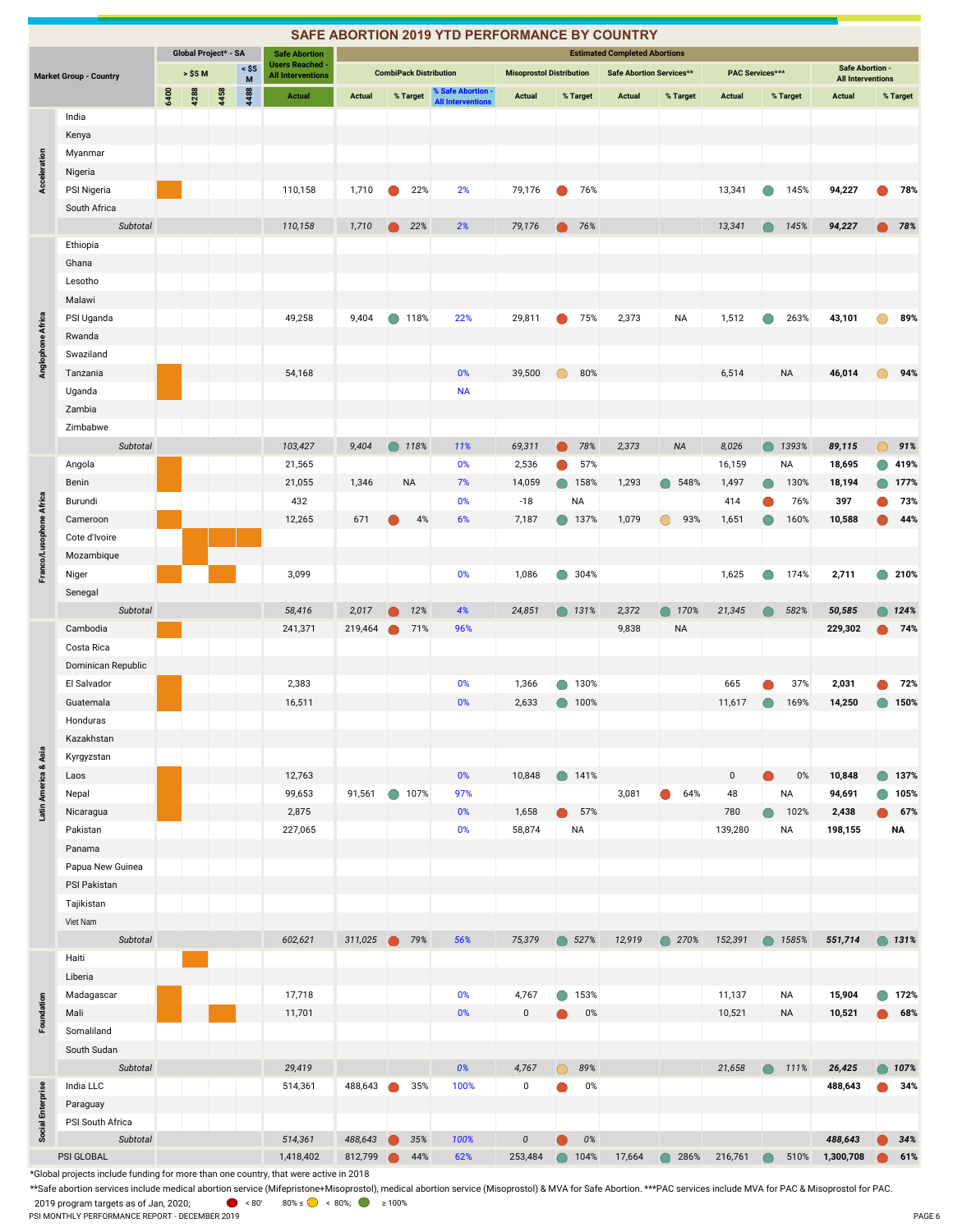|                         |                               |      |                      |      |                                   |                                                    |               |           |                               | SAFE ABORTION 2019 YTD PERFORMANCE BY COUNTRY |                                 |            |                 |                                      |                   |                        |           |           |                                                    |                |
|-------------------------|-------------------------------|------|----------------------|------|-----------------------------------|----------------------------------------------------|---------------|-----------|-------------------------------|-----------------------------------------------|---------------------------------|------------|-----------------|--------------------------------------|-------------------|------------------------|-----------|-----------|----------------------------------------------------|----------------|
|                         |                               |      | Global Project* - SA |      |                                   | <b>Safe Abortion</b>                               |               |           |                               |                                               |                                 |            |                 | <b>Estimated Completed Abortions</b> |                   |                        |           |           |                                                    |                |
|                         | <b>Market Group - Country</b> |      | > \$5 M              |      | $\leq$ \$5<br>$\mathsf{M}\xspace$ | <b>Users Reached -</b><br><b>All Interventions</b> |               |           | <b>CombiPack Distribution</b> |                                               | <b>Misoprostol Distribution</b> |            |                 | Safe Abortion Services**             |                   | <b>PAC Services***</b> |           |           | <b>Safe Abortion -</b><br><b>All Interventions</b> |                |
|                         |                               | 6400 | 4288                 | 4458 | 4488                              | <b>Actual</b>                                      | <b>Actual</b> |           | % Target                      | % Safe Abortion -                             | <b>Actual</b>                   |            | % Target        | <b>Actual</b>                        | % Target          | <b>Actual</b>          |           | % Target  | <b>Actual</b>                                      | % Target       |
|                         | India                         |      |                      |      |                                   |                                                    |               |           |                               | <b>All Interventions</b>                      |                                 |            |                 |                                      |                   |                        |           |           |                                                    |                |
|                         | Kenya                         |      |                      |      |                                   |                                                    |               |           |                               |                                               |                                 |            |                 |                                      |                   |                        |           |           |                                                    |                |
|                         | Myanmar                       |      |                      |      |                                   |                                                    |               |           |                               |                                               |                                 |            |                 |                                      |                   |                        |           |           |                                                    |                |
|                         | Nigeria                       |      |                      |      |                                   |                                                    |               |           |                               |                                               |                                 |            |                 |                                      |                   |                        |           |           |                                                    |                |
| <b>Acceleration</b>     | PSI Nigeria                   |      |                      |      |                                   | 110,158                                            | 1,710         |           | 22%                           | 2%                                            | 79,176                          |            | 76%             |                                      |                   | 13,341                 | $\bullet$ | 145%      | 94,227                                             | 78%            |
|                         | South Africa                  |      |                      |      |                                   |                                                    |               |           |                               |                                               |                                 |            |                 |                                      |                   |                        |           |           |                                                    |                |
|                         | Subtotal                      |      |                      |      |                                   | 110,158                                            | 1,710         |           | 22%                           | 2%                                            | 79,176                          |            | 76%             |                                      |                   | 13,341                 |           | 145%      | 94,227                                             | 78%            |
|                         | Ethiopia                      |      |                      |      |                                   |                                                    |               |           |                               |                                               |                                 |            |                 |                                      |                   |                        |           |           |                                                    |                |
|                         | Ghana                         |      |                      |      |                                   |                                                    |               |           |                               |                                               |                                 |            |                 |                                      |                   |                        |           |           |                                                    |                |
|                         | Lesotho                       |      |                      |      |                                   |                                                    |               |           |                               |                                               |                                 |            |                 |                                      |                   |                        |           |           |                                                    |                |
|                         | Malawi                        |      |                      |      |                                   |                                                    |               |           |                               |                                               |                                 |            |                 |                                      |                   |                        |           |           |                                                    |                |
|                         | PSI Uganda                    |      |                      |      |                                   | 49,258                                             | 9,404         |           | 118%                          | 22%                                           | 29,811                          |            | 75%             | 2,373                                | <b>NA</b>         | 1,512                  |           | 263%      | 43,101                                             | 89%            |
| Anglophone Africa       | Rwanda                        |      |                      |      |                                   |                                                    |               |           |                               |                                               |                                 |            |                 |                                      |                   |                        |           |           |                                                    |                |
|                         | Swaziland                     |      |                      |      |                                   |                                                    |               |           |                               |                                               |                                 |            |                 |                                      |                   |                        |           |           |                                                    |                |
|                         | Tanzania                      |      |                      |      |                                   | 54,168                                             |               |           |                               | 0%                                            | 39,500                          |            | 80%             |                                      |                   | 6,514                  |           | <b>NA</b> | 46,014                                             | 94%            |
|                         | Uganda                        |      |                      |      |                                   |                                                    |               |           |                               | <b>NA</b>                                     |                                 |            |                 |                                      |                   |                        |           |           |                                                    |                |
|                         | Zambia                        |      |                      |      |                                   |                                                    |               |           |                               |                                               |                                 |            |                 |                                      |                   |                        |           |           |                                                    |                |
|                         | Zimbabwe                      |      |                      |      |                                   |                                                    |               |           |                               |                                               |                                 |            |                 |                                      |                   |                        |           |           |                                                    |                |
|                         | Subtotal                      |      |                      |      |                                   | 103,427                                            | 9,404         |           | 118%                          | 11%                                           | 69,311                          |            | 78%             | 2,373                                | <b>NA</b>         | 8,026                  |           | 1393%     | 89,115                                             | 91%            |
|                         | Angola                        |      |                      |      |                                   | 21,565                                             |               |           |                               | 0%                                            | 2,536                           |            | 57%             |                                      |                   | 16,159                 |           | NA        | 18,695                                             | 419%           |
|                         | Benin                         |      |                      |      |                                   | 21,055                                             | 1,346         |           | <b>NA</b>                     | 7%                                            | 14,059                          |            | 158%            | 1,293                                | 548%              | 1,497                  |           | 130%      | 18,194                                             | 177%           |
|                         | Burundi                       |      |                      |      |                                   | 432                                                |               |           |                               | 0%                                            | $-18$                           |            | NA              |                                      |                   | 414                    |           | 76%       | 397                                                | 73%            |
| Franco/Lusophone Africa | Cameroon                      |      |                      |      |                                   | 12,265                                             | 671           |           | 4%                            | 6%                                            | 7,187                           |            | ● 137%          | 1,079                                | 93%<br>∩          | 1,651                  |           | 160%      | 10,588                                             | 44%            |
|                         | Cote d'Ivoire                 |      |                      |      |                                   |                                                    |               |           |                               |                                               |                                 |            |                 |                                      |                   |                        |           |           |                                                    |                |
|                         | Mozambique                    |      |                      |      |                                   |                                                    |               |           |                               |                                               |                                 |            |                 |                                      |                   |                        |           |           |                                                    |                |
|                         | Niger                         |      |                      |      |                                   | 3,099                                              |               |           |                               | 0%                                            | 1,086                           |            | 304%            |                                      |                   | 1,625                  |           | 174%      | 2,711                                              | 210%           |
|                         | Senegal                       |      |                      |      |                                   |                                                    |               |           |                               |                                               |                                 |            |                 |                                      |                   |                        |           |           |                                                    |                |
|                         | Subtotal                      |      |                      |      |                                   | 58,416                                             | 2,017         |           | 12%                           | 4%                                            | 24,851                          |            | $\bigcirc$ 131% | 2,372                                | 170%<br>∩         | 21,345                 |           | 582%      | 50,585                                             | 124%           |
|                         | Cambodia                      |      |                      |      |                                   | 241,371                                            | 219,464       |           | 71%                           | 96%                                           |                                 |            |                 | 9,838                                | <b>NA</b>         |                        |           |           | 229,302                                            | 74%            |
|                         | Costa Rica                    |      |                      |      |                                   |                                                    |               |           |                               |                                               |                                 |            |                 |                                      |                   |                        |           |           |                                                    |                |
|                         | Dominican Republic            |      |                      |      |                                   |                                                    |               |           |                               |                                               |                                 |            |                 |                                      |                   |                        |           |           |                                                    |                |
|                         | El Salvador                   |      |                      |      |                                   | 2,383                                              |               |           |                               | 0%                                            | 1,366                           |            | 130%            |                                      |                   | 665                    |           | 37%       | 2,031                                              | 72%            |
|                         | Guatemala                     |      |                      |      |                                   | 16,511                                             |               |           |                               | 0%                                            | 2,633                           |            | ● 100%          |                                      |                   | 11,617                 |           | 169%      | 14,250                                             | 150%           |
|                         | Honduras                      |      |                      |      |                                   |                                                    |               |           |                               |                                               |                                 |            |                 |                                      |                   |                        |           |           |                                                    |                |
|                         | Kazakhstan                    |      |                      |      |                                   |                                                    |               |           |                               |                                               |                                 |            |                 |                                      |                   |                        |           |           |                                                    |                |
|                         | Kyrgyzstan                    |      |                      |      |                                   |                                                    |               |           |                               |                                               |                                 |            |                 |                                      |                   |                        |           |           |                                                    |                |
| Latin America & Asia    | Laos                          |      |                      |      |                                   | 12,763                                             |               |           |                               | 0%                                            | 10,848                          |            | ● 141%          |                                      |                   | $\mathbf 0$            |           | 0%        | 10,848                                             | <b>137%</b>    |
|                         | Nepal                         |      |                      |      |                                   | 99,653                                             | 91,561        | $\bullet$ | 107%                          | 97%                                           |                                 |            |                 | 3,081                                | 64%               | 48                     |           | <b>NA</b> | 94,691                                             | 105%           |
|                         | Nicaragua                     |      |                      |      |                                   | 2,875                                              |               |           |                               | $0\%$                                         | 1,658                           |            | 57%             |                                      |                   | 780                    |           | 102%      | 2,438                                              | 67%            |
|                         | Pakistan                      |      |                      |      |                                   | 227,065                                            |               |           |                               | $0\%$                                         | 58,874                          |            | <b>NA</b>       |                                      |                   | 139,280                |           | <b>NA</b> | 198,155                                            | NA             |
|                         | Panama                        |      |                      |      |                                   |                                                    |               |           |                               |                                               |                                 |            |                 |                                      |                   |                        |           |           |                                                    |                |
|                         | Papua New Guinea              |      |                      |      |                                   |                                                    |               |           |                               |                                               |                                 |            |                 |                                      |                   |                        |           |           |                                                    |                |
|                         | PSI Pakistan                  |      |                      |      |                                   |                                                    |               |           |                               |                                               |                                 |            |                 |                                      |                   |                        |           |           |                                                    |                |
|                         | Tajikistan                    |      |                      |      |                                   |                                                    |               |           |                               |                                               |                                 |            |                 |                                      |                   |                        |           |           |                                                    |                |
|                         | Viet Nam                      |      |                      |      |                                   |                                                    |               |           |                               |                                               |                                 |            |                 |                                      |                   |                        |           |           |                                                    |                |
|                         | Subtotal                      |      |                      |      |                                   | 602,621                                            | 311,025       | $\bullet$ | 79%                           | 56%                                           | 75,379                          |            | $\bullet$ 527%  | 12,919                               | 270%              | 152,391                |           | 1585%     | 551,714                                            | $\bullet$ 131% |
|                         | Haiti                         |      |                      |      |                                   |                                                    |               |           |                               |                                               |                                 |            |                 |                                      |                   |                        |           |           |                                                    |                |
|                         | Liberia<br>Madagascar         |      |                      |      |                                   | 17,718                                             |               |           |                               | $0\%$                                         | 4,767                           |            | $\bigcirc$ 153% |                                      |                   | 11,137                 |           | <b>NA</b> | 15,904                                             | 172%           |
| Foundation              | Mali                          |      |                      |      |                                   | 11,701                                             |               |           |                               | $0\%$                                         | $\mathbf 0$                     |            | 0%              |                                      |                   | 10,521                 |           | NA        | 10,521                                             | 68%            |
|                         | Somaliland                    |      |                      |      |                                   |                                                    |               |           |                               |                                               |                                 |            |                 |                                      |                   |                        |           |           |                                                    |                |
|                         | South Sudan                   |      |                      |      |                                   |                                                    |               |           |                               |                                               |                                 |            |                 |                                      |                   |                        |           |           |                                                    |                |
|                         | Subtotal                      |      |                      |      |                                   | 29,419                                             |               |           |                               | 0%                                            | 4,767                           | $\bigcirc$ | 89%             |                                      |                   | 21,658                 | $\bullet$ | 111%      | 26,425                                             | ● 107%         |
|                         | India LLC                     |      |                      |      |                                   | 514,361                                            | 488,643       |           | 35%                           | 100%                                          | $\pmb{0}$                       |            | 0%              |                                      |                   |                        |           |           | 488,643                                            | 34%            |
|                         | Paraguay                      |      |                      |      |                                   |                                                    |               |           |                               |                                               |                                 |            |                 |                                      |                   |                        |           |           |                                                    |                |
| Social Enterprise       | PSI South Africa              |      |                      |      |                                   |                                                    |               |           |                               |                                               |                                 |            |                 |                                      |                   |                        |           |           |                                                    |                |
|                         | Subtotal                      |      |                      |      |                                   | 514,361                                            | 488,643       | $\bullet$ | 35%                           | 100%                                          | $\pmb{\mathit{0}}$              | ●          | $0\%$           |                                      |                   |                        |           |           | 488,643                                            | 34%            |
|                         | PSI GLOBAL                    |      |                      |      |                                   | 1,418,402                                          | 812,799       |           | 44%                           | 62%                                           | 253,484                         |            | ● 104%          | 17,664                               | 286%<br>$\bullet$ | 216,761                |           | 510%      | 1,300,708                                          | 61%            |

\*Global projects include funding for more than one country, that were active in 2018

\*\*Safe abortion services include medical abortion service (Mifepristone+Misoprostol), medical abortion service (Misoprostol) & MVA for Safe Abortion. \*\*\*PAC services include MVA for PAC & Misoprostol for PAC. 2019 program targets as of Jan, 2020;  $\bullet$  < 80°  $\bullet$  80%  $\bullet$  < 80%;  $\bullet$  ≥ 100% PSI MONTHLY PERFORMANCE REPORT - DECEMBER 2019<br>PSI MONTHLY PERFORMANCE REPORT - DECEMBER 2019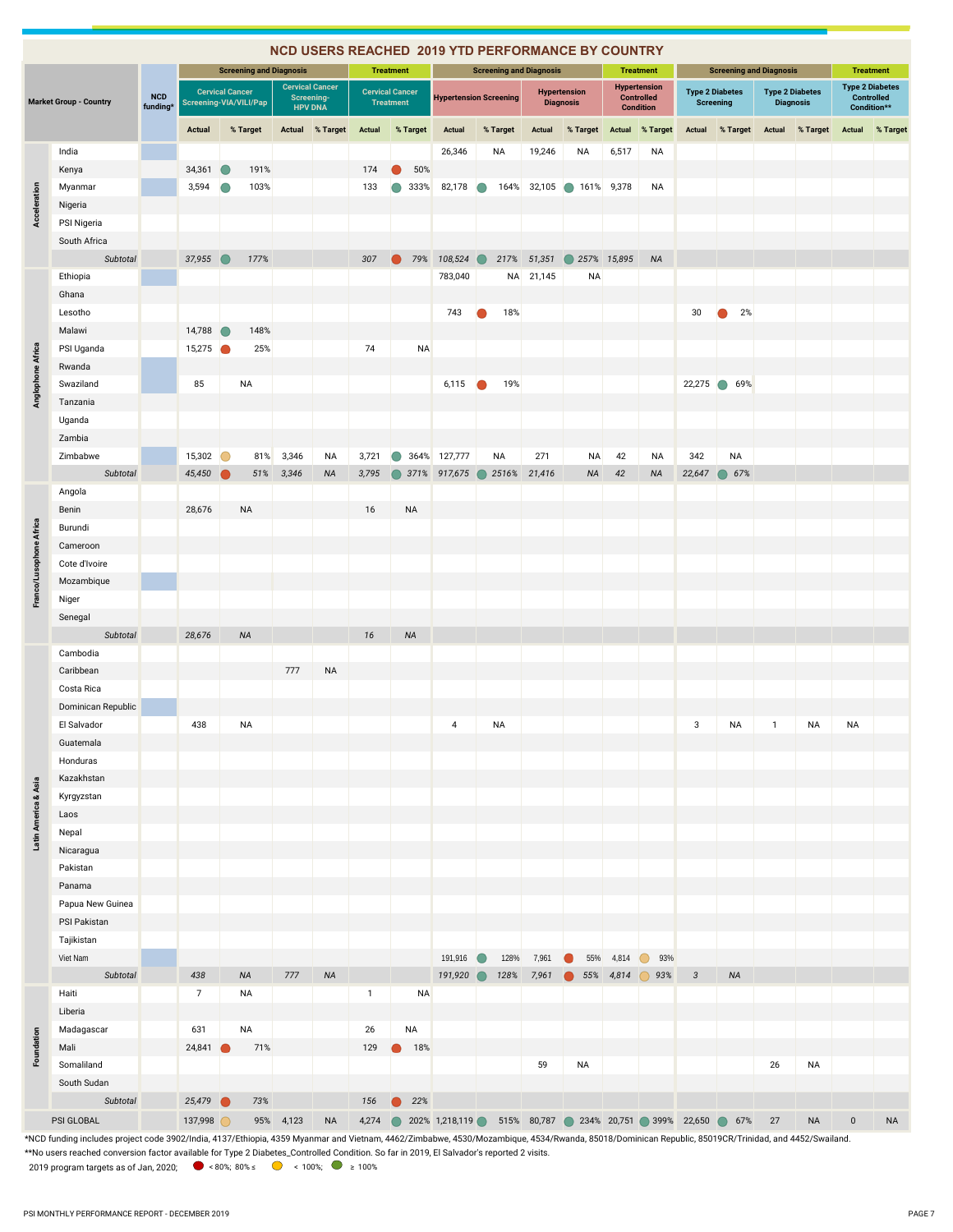|                         |                               |                                                                                                                                                                                                     |                                                  |                                |                              | <b>NCD USERS REACHED 2019 YTD PERFORMANCE BY COUNTRY</b> |               |                                            |                                                        |           |       |                                |                                         |             |                                                              |              |                                            |              |                                            |           |                                                            |
|-------------------------|-------------------------------|-----------------------------------------------------------------------------------------------------------------------------------------------------------------------------------------------------|--------------------------------------------------|--------------------------------|------------------------------|----------------------------------------------------------|---------------|--------------------------------------------|--------------------------------------------------------|-----------|-------|--------------------------------|-----------------------------------------|-------------|--------------------------------------------------------------|--------------|--------------------------------------------|--------------|--------------------------------------------|-----------|------------------------------------------------------------|
|                         |                               |                                                                                                                                                                                                     |                                                  | <b>Screening and Diagnosis</b> |                              |                                                          |               | <b>Treatment</b>                           |                                                        |           |       | <b>Screening and Diagnosis</b> |                                         |             | <b>Treatment</b>                                             |              | <b>Screening and Diagnosis</b>             |              |                                            |           | <b>Treatment</b>                                           |
|                         | <b>Market Group - Country</b> | <b>NCD</b><br>funding*                                                                                                                                                                              | <b>Cervical Cancer</b><br>Screening-VIA/VILI/Pap |                                | Screening-<br><b>HPV DNA</b> | <b>Cervical Cancer</b>                                   |               | <b>Cervical Cancer</b><br><b>Treatment</b> | <b>Hypertension Screening</b>                          |           |       |                                | <b>Hypertension</b><br><b>Diagnosis</b> |             | <b>Hypertension</b><br><b>Controlled</b><br><b>Condition</b> |              | <b>Type 2 Diabetes</b><br><b>Screening</b> |              | <b>Type 2 Diabetes</b><br><b>Diagnosis</b> |           | <b>Type 2 Diabetes</b><br><b>Controlled</b><br>Condition** |
|                         |                               |                                                                                                                                                                                                     | <b>Actual</b>                                    | % Target                       | Actual                       | % Target                                                 | <b>Actual</b> | % Target                                   | <b>Actual</b>                                          | % Target  |       | <b>Actual</b>                  | % Target                                | Actual      | % Target                                                     | Actual       | % Target                                   | Actual       | % Target                                   | Actual    | % Target                                                   |
|                         | India                         |                                                                                                                                                                                                     |                                                  |                                |                              |                                                          |               |                                            | 26,346                                                 | NA        |       | 19,246                         | NA                                      | 6,517       | <b>NA</b>                                                    |              |                                            |              |                                            |           |                                                            |
|                         | Kenya                         |                                                                                                                                                                                                     | 34,361                                           | 191%                           |                              |                                                          | 174           | 50%                                        |                                                        |           |       |                                |                                         |             |                                                              |              |                                            |              |                                            |           |                                                            |
|                         | Myanmar                       |                                                                                                                                                                                                     | 3,594                                            | 103%                           |                              |                                                          | 133           | 333%                                       | 82,178                                                 |           | 164%  | 32,105                         | $\bigcirc$                              | 161% 9,378  | NA                                                           |              |                                            |              |                                            |           |                                                            |
|                         | Nigeria                       |                                                                                                                                                                                                     |                                                  |                                |                              |                                                          |               |                                            |                                                        |           |       |                                |                                         |             |                                                              |              |                                            |              |                                            |           |                                                            |
| Acceleration            | PSI Nigeria                   |                                                                                                                                                                                                     |                                                  |                                |                              |                                                          |               |                                            |                                                        |           |       |                                |                                         |             |                                                              |              |                                            |              |                                            |           |                                                            |
|                         | South Africa                  |                                                                                                                                                                                                     |                                                  |                                |                              |                                                          |               |                                            |                                                        |           |       |                                |                                         |             |                                                              |              |                                            |              |                                            |           |                                                            |
|                         | Subtotal                      |                                                                                                                                                                                                     | 37,955                                           | 177%                           |                              |                                                          | 307           | 79%                                        | 108,524                                                |           | 217%  | 51,351                         |                                         | 257% 15,895 | <b>NA</b>                                                    |              |                                            |              |                                            |           |                                                            |
|                         | Ethiopia                      |                                                                                                                                                                                                     |                                                  |                                |                              |                                                          |               |                                            | 783,040                                                |           |       | NA 21,145                      | <b>NA</b>                               |             |                                                              |              |                                            |              |                                            |           |                                                            |
|                         | Ghana                         |                                                                                                                                                                                                     |                                                  |                                |                              |                                                          |               |                                            |                                                        |           |       |                                |                                         |             |                                                              |              |                                            |              |                                            |           |                                                            |
|                         | Lesotho                       |                                                                                                                                                                                                     |                                                  |                                |                              |                                                          |               |                                            | 743                                                    |           | 18%   |                                |                                         |             |                                                              | 30           | 2%                                         |              |                                            |           |                                                            |
|                         | Malawi                        |                                                                                                                                                                                                     | 14,788                                           | 148%                           |                              |                                                          |               |                                            |                                                        |           |       |                                |                                         |             |                                                              |              |                                            |              |                                            |           |                                                            |
|                         | PSI Uganda                    |                                                                                                                                                                                                     | 15,275                                           | 25%                            |                              |                                                          | 74            | <b>NA</b>                                  |                                                        |           |       |                                |                                         |             |                                                              |              |                                            |              |                                            |           |                                                            |
|                         | Rwanda                        |                                                                                                                                                                                                     |                                                  |                                |                              |                                                          |               |                                            |                                                        |           |       |                                |                                         |             |                                                              |              |                                            |              |                                            |           |                                                            |
|                         | Swaziland                     |                                                                                                                                                                                                     | 85                                               | ΝA                             |                              |                                                          |               |                                            | 6,115                                                  |           | 19%   |                                |                                         |             |                                                              | 22,275       | $\bigcirc$<br>69%                          |              |                                            |           |                                                            |
| Anglophone Africa       | Tanzania                      |                                                                                                                                                                                                     |                                                  |                                |                              |                                                          |               |                                            |                                                        |           |       |                                |                                         |             |                                                              |              |                                            |              |                                            |           |                                                            |
|                         | Uganda                        |                                                                                                                                                                                                     |                                                  |                                |                              |                                                          |               |                                            |                                                        |           |       |                                |                                         |             |                                                              |              |                                            |              |                                            |           |                                                            |
|                         | Zambia                        |                                                                                                                                                                                                     |                                                  |                                |                              |                                                          |               |                                            |                                                        |           |       |                                |                                         |             |                                                              |              |                                            |              |                                            |           |                                                            |
|                         | Zimbabwe                      |                                                                                                                                                                                                     | 15,302                                           | 81%                            | 3,346                        | NA                                                       | 3,721         |                                            | 364% 127,777                                           | NA        |       | 271                            | <b>NA</b>                               | 42          | <b>NA</b>                                                    | 342          | NA                                         |              |                                            |           |                                                            |
|                         | Subtotal                      |                                                                                                                                                                                                     | 45,450                                           | 51%                            | 3,346                        | <b>NA</b>                                                | 3,795         |                                            | 371% 917,675                                           |           | 2516% | 21,416                         | <b>NA</b>                               | 42          | <b>NA</b>                                                    | 22,647       | 67%<br>$\bigcirc$                          |              |                                            |           |                                                            |
|                         | Angola                        |                                                                                                                                                                                                     |                                                  |                                |                              |                                                          |               |                                            |                                                        |           |       |                                |                                         |             |                                                              |              |                                            |              |                                            |           |                                                            |
|                         | Benin                         |                                                                                                                                                                                                     | 28,676                                           | <b>NA</b>                      |                              |                                                          | 16            | NA                                         |                                                        |           |       |                                |                                         |             |                                                              |              |                                            |              |                                            |           |                                                            |
|                         | Burundi                       |                                                                                                                                                                                                     |                                                  |                                |                              |                                                          |               |                                            |                                                        |           |       |                                |                                         |             |                                                              |              |                                            |              |                                            |           |                                                            |
| Franco/Lusophone Africa | Cameroon                      |                                                                                                                                                                                                     |                                                  |                                |                              |                                                          |               |                                            |                                                        |           |       |                                |                                         |             |                                                              |              |                                            |              |                                            |           |                                                            |
|                         | Cote d'Ivoire                 |                                                                                                                                                                                                     |                                                  |                                |                              |                                                          |               |                                            |                                                        |           |       |                                |                                         |             |                                                              |              |                                            |              |                                            |           |                                                            |
|                         | Mozambique                    |                                                                                                                                                                                                     |                                                  |                                |                              |                                                          |               |                                            |                                                        |           |       |                                |                                         |             |                                                              |              |                                            |              |                                            |           |                                                            |
|                         | Niger                         |                                                                                                                                                                                                     |                                                  |                                |                              |                                                          |               |                                            |                                                        |           |       |                                |                                         |             |                                                              |              |                                            |              |                                            |           |                                                            |
|                         | Senegal                       |                                                                                                                                                                                                     |                                                  |                                |                              |                                                          |               |                                            |                                                        |           |       |                                |                                         |             |                                                              |              |                                            |              |                                            |           |                                                            |
|                         | Subtotal                      |                                                                                                                                                                                                     | 28,676                                           | <b>NA</b>                      |                              |                                                          | 16            | <b>NA</b>                                  |                                                        |           |       |                                |                                         |             |                                                              |              |                                            |              |                                            |           |                                                            |
|                         | Cambodia                      |                                                                                                                                                                                                     |                                                  |                                |                              |                                                          |               |                                            |                                                        |           |       |                                |                                         |             |                                                              |              |                                            |              |                                            |           |                                                            |
|                         | Caribbean                     |                                                                                                                                                                                                     |                                                  |                                | 777                          | <b>NA</b>                                                |               |                                            |                                                        |           |       |                                |                                         |             |                                                              |              |                                            |              |                                            |           |                                                            |
|                         | Costa Rica                    |                                                                                                                                                                                                     |                                                  |                                |                              |                                                          |               |                                            |                                                        |           |       |                                |                                         |             |                                                              |              |                                            |              |                                            |           |                                                            |
|                         | Dominican Republic            |                                                                                                                                                                                                     |                                                  |                                |                              |                                                          |               |                                            |                                                        |           |       |                                |                                         |             |                                                              |              |                                            |              |                                            |           |                                                            |
|                         | El Salvador                   |                                                                                                                                                                                                     | 438                                              | ΝA                             |                              |                                                          |               |                                            | 4                                                      | <b>NA</b> |       |                                |                                         |             |                                                              | 3            | ΝA                                         | $\mathbf{1}$ | ΝA                                         | NA        |                                                            |
|                         | Guatemala                     |                                                                                                                                                                                                     |                                                  |                                |                              |                                                          |               |                                            |                                                        |           |       |                                |                                         |             |                                                              |              |                                            |              |                                            |           |                                                            |
|                         | Honduras                      |                                                                                                                                                                                                     |                                                  |                                |                              |                                                          |               |                                            |                                                        |           |       |                                |                                         |             |                                                              |              |                                            |              |                                            |           |                                                            |
|                         | Kazakhstan                    |                                                                                                                                                                                                     |                                                  |                                |                              |                                                          |               |                                            |                                                        |           |       |                                |                                         |             |                                                              |              |                                            |              |                                            |           |                                                            |
|                         | Kyrgyzstan                    |                                                                                                                                                                                                     |                                                  |                                |                              |                                                          |               |                                            |                                                        |           |       |                                |                                         |             |                                                              |              |                                            |              |                                            |           |                                                            |
|                         | Laos                          |                                                                                                                                                                                                     |                                                  |                                |                              |                                                          |               |                                            |                                                        |           |       |                                |                                         |             |                                                              |              |                                            |              |                                            |           |                                                            |
| Latin America & Asia    | Nepal                         |                                                                                                                                                                                                     |                                                  |                                |                              |                                                          |               |                                            |                                                        |           |       |                                |                                         |             |                                                              |              |                                            |              |                                            |           |                                                            |
|                         | Nicaragua                     |                                                                                                                                                                                                     |                                                  |                                |                              |                                                          |               |                                            |                                                        |           |       |                                |                                         |             |                                                              |              |                                            |              |                                            |           |                                                            |
|                         | Pakistan                      |                                                                                                                                                                                                     |                                                  |                                |                              |                                                          |               |                                            |                                                        |           |       |                                |                                         |             |                                                              |              |                                            |              |                                            |           |                                                            |
|                         | Panama                        |                                                                                                                                                                                                     |                                                  |                                |                              |                                                          |               |                                            |                                                        |           |       |                                |                                         |             |                                                              |              |                                            |              |                                            |           |                                                            |
|                         | Papua New Guinea              |                                                                                                                                                                                                     |                                                  |                                |                              |                                                          |               |                                            |                                                        |           |       |                                |                                         |             |                                                              |              |                                            |              |                                            |           |                                                            |
|                         | PSI Pakistan                  |                                                                                                                                                                                                     |                                                  |                                |                              |                                                          |               |                                            |                                                        |           |       |                                |                                         |             |                                                              |              |                                            |              |                                            |           |                                                            |
|                         | Tajikistan                    |                                                                                                                                                                                                     |                                                  |                                |                              |                                                          |               |                                            |                                                        |           |       |                                |                                         |             |                                                              |              |                                            |              |                                            |           |                                                            |
|                         | Viet Nam                      |                                                                                                                                                                                                     |                                                  |                                |                              |                                                          |               |                                            | 191,916                                                |           | 128%  | 7,961                          | 55%                                     | 4,814       | 93%                                                          |              |                                            |              |                                            |           |                                                            |
|                         | Subtotal                      |                                                                                                                                                                                                     | 438                                              | <b>NA</b>                      | 777                          | <b>NA</b>                                                |               |                                            | 191,920                                                |           | 128%  | 7,961                          |                                         | 55% 4,814   | 93%                                                          | $\mathbf{3}$ | NA                                         |              |                                            |           |                                                            |
|                         | Haiti                         |                                                                                                                                                                                                     | $\overline{7}$                                   | NA                             |                              |                                                          | $\mathbf{1}$  | <b>NA</b>                                  |                                                        |           |       |                                |                                         |             |                                                              |              |                                            |              |                                            |           |                                                            |
|                         | Liberia                       |                                                                                                                                                                                                     |                                                  |                                |                              |                                                          |               |                                            |                                                        |           |       |                                |                                         |             |                                                              |              |                                            |              |                                            |           |                                                            |
|                         | Madagascar                    |                                                                                                                                                                                                     | 631                                              | NA                             |                              |                                                          | 26            | NA                                         |                                                        |           |       |                                |                                         |             |                                                              |              |                                            |              |                                            |           |                                                            |
| Foundation              | Mali                          |                                                                                                                                                                                                     | 24,841                                           | 71%                            |                              |                                                          | 129           | 18%                                        |                                                        |           |       |                                |                                         |             |                                                              |              |                                            |              |                                            |           |                                                            |
|                         | Somaliland                    |                                                                                                                                                                                                     |                                                  |                                |                              |                                                          |               |                                            |                                                        |           |       | 59                             | NA                                      |             |                                                              |              |                                            | 26           | <b>NA</b>                                  |           |                                                            |
|                         | South Sudan                   |                                                                                                                                                                                                     |                                                  |                                |                              |                                                          |               |                                            |                                                        |           |       |                                |                                         |             |                                                              |              |                                            |              |                                            |           |                                                            |
|                         | Subtotal                      |                                                                                                                                                                                                     | 25,479                                           | 73%                            |                              |                                                          | 156           | 22%<br>$\bullet$                           |                                                        |           |       |                                |                                         |             |                                                              |              |                                            |              |                                            |           |                                                            |
|                         | PSI GLOBAL                    |                                                                                                                                                                                                     | 137,998                                          |                                | 95% 4,123                    | <b>NA</b>                                                | 4,274         |                                            | 202% 1,218,119 515% 80,787 234% 20,751 399% 22,650 67% |           |       |                                |                                         |             |                                                              |              |                                            | 27           | <b>NA</b>                                  | $\pmb{0}$ | <b>NA</b>                                                  |
|                         |                               | *NCD funding includes project code 3902/India, 4137/Ethiopia, 4359 Myanmar and Vietnam, 4462/Zimbabwe, 4530/Mozambique, 4534/Rwanda, 85018/Dominican Republic, 85019CR/Trinidad, and 4452/Swailand. |                                                  |                                |                              |                                                          |               |                                            |                                                        |           |       |                                |                                         |             |                                                              |              |                                            |              |                                            |           |                                                            |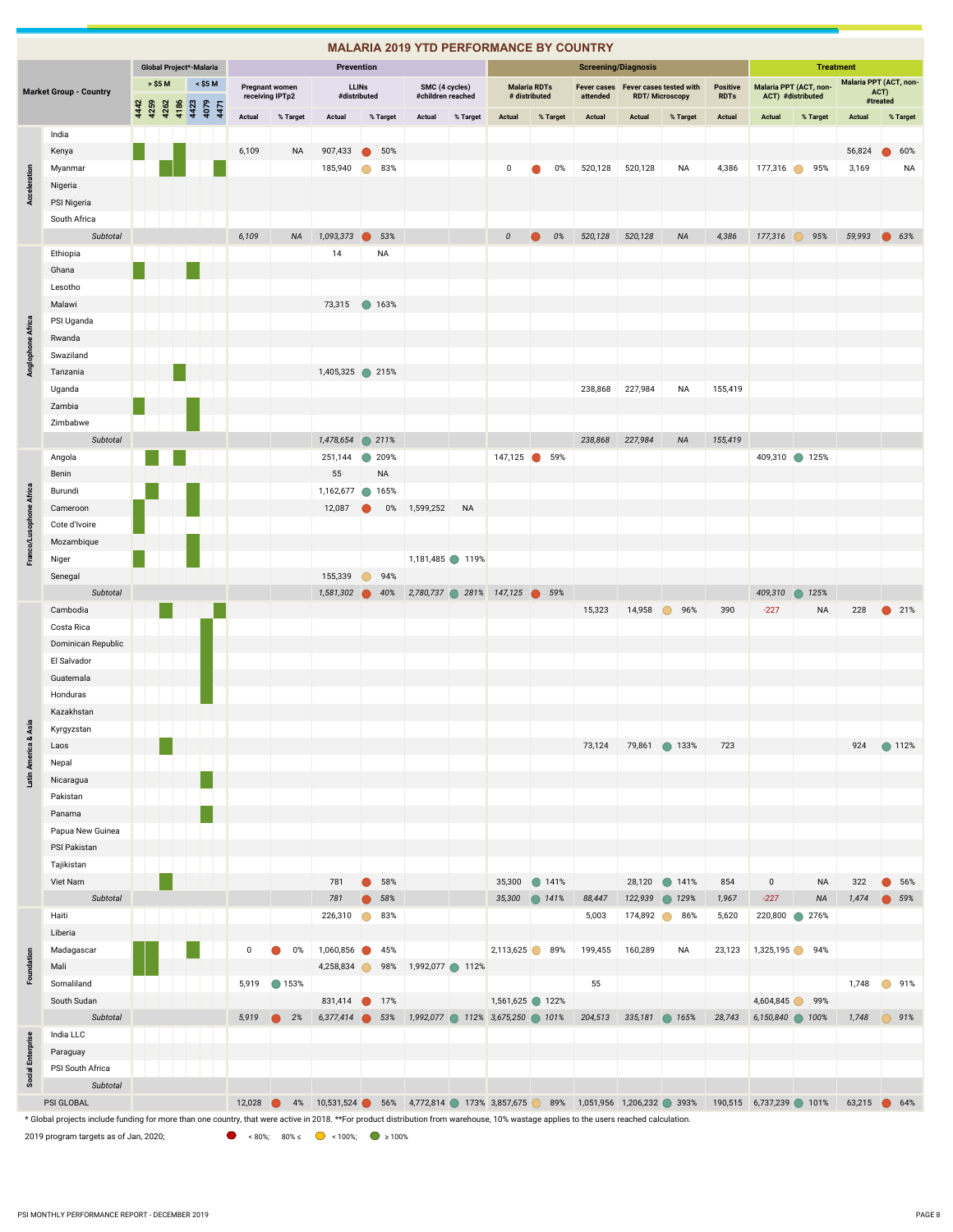|                          |                                                                                                                                                                                         |      |         |              |      |                         |                                          |           |           |                                |                              |           |                |                   |                               |                                      | <b>MALARIA 2019 YTD PERFORMANCE BY COUNTRY</b>                                                   |                            |                                                              |                                |                        |                    |                        |                  |           |
|--------------------------|-----------------------------------------------------------------------------------------------------------------------------------------------------------------------------------------|------|---------|--------------|------|-------------------------|------------------------------------------|-----------|-----------|--------------------------------|------------------------------|-----------|----------------|-------------------|-------------------------------|--------------------------------------|--------------------------------------------------------------------------------------------------|----------------------------|--------------------------------------------------------------|--------------------------------|------------------------|--------------------|------------------------|------------------|-----------|
|                          |                                                                                                                                                                                         |      |         |              |      | Global Project*-Malaria |                                          |           |           | Prevention                     |                              |           |                |                   |                               |                                      |                                                                                                  | <b>Screening/Diagnosis</b> |                                                              |                                |                        |                    | <b>Treatment</b>       |                  |           |
|                          | <b>Market Group - Country</b>                                                                                                                                                           |      | > \$5 M |              |      | < \$5 M                 | <b>Pregnant women</b><br>receiving IPTp2 |           |           |                                | <b>LLINs</b><br>#distributed |           | SMC (4 cycles) | #children reached |                               | <b>Malaria RDTs</b><br># distributed | attended                                                                                         |                            | Fever cases Fever cases tested with<br><b>RDT/Microscopy</b> | <b>Positive</b><br><b>RDTs</b> | Malaria PPT (ACT, non- | ACT) #distributed  | Malaria PPT (ACT, non- | ACT)<br>#treated |           |
|                          |                                                                                                                                                                                         | 4442 | 4259    | 4262<br>4186 | 4423 | 4079<br>4471            | Actual                                   |           | % Target  | Actual                         |                              | % Target  | Actual         | % Target          | Actual                        | % Target                             | Actual                                                                                           | Actual                     | % Target                                                     | <b>Actual</b>                  | Actual                 | % Target           | Actual                 |                  | % Target  |
|                          | India                                                                                                                                                                                   |      |         |              |      |                         |                                          |           |           |                                |                              |           |                |                   |                               |                                      |                                                                                                  |                            |                                                              |                                |                        |                    |                        |                  |           |
|                          | Kenya                                                                                                                                                                                   |      |         |              |      |                         | 6,109                                    |           | <b>NA</b> | 907,433                        |                              | 50%       |                |                   |                               |                                      |                                                                                                  |                            |                                                              |                                |                        |                    | 56,824                 |                  | 60%       |
|                          | Myanmar                                                                                                                                                                                 |      |         |              |      |                         |                                          |           |           | 185,940                        |                              | 83%       |                |                   | 0                             | 0%                                   | 520,128                                                                                          | 520,128                    | <b>NA</b>                                                    | 4,386                          | 177,316                | 95%<br>∩           | 3,169                  |                  | <b>NA</b> |
| Acceleration             | Nigeria                                                                                                                                                                                 |      |         |              |      |                         |                                          |           |           |                                |                              |           |                |                   |                               |                                      |                                                                                                  |                            |                                                              |                                |                        |                    |                        |                  |           |
|                          | PSI Nigeria                                                                                                                                                                             |      |         |              |      |                         |                                          |           |           |                                |                              |           |                |                   |                               |                                      |                                                                                                  |                            |                                                              |                                |                        |                    |                        |                  |           |
|                          | South Africa                                                                                                                                                                            |      |         |              |      |                         |                                          |           |           |                                |                              |           |                |                   |                               |                                      |                                                                                                  |                            |                                                              |                                |                        |                    |                        |                  |           |
|                          | Subtotal                                                                                                                                                                                |      |         |              |      |                         | 6,109                                    |           | <b>NA</b> | 1,093,373                      |                              | 53%       |                |                   | $\boldsymbol{0}$              | 0%                                   | 520,128                                                                                          | 520,128                    | <b>NA</b>                                                    | 4,386                          | 177,316                | 95%                | 59,993                 | $\bullet$ 63%    |           |
|                          | Ethiopia                                                                                                                                                                                |      |         |              |      |                         |                                          |           |           | 14                             |                              | <b>NA</b> |                |                   |                               |                                      |                                                                                                  |                            |                                                              |                                |                        |                    |                        |                  |           |
|                          | Ghana                                                                                                                                                                                   |      |         |              |      |                         |                                          |           |           |                                |                              |           |                |                   |                               |                                      |                                                                                                  |                            |                                                              |                                |                        |                    |                        |                  |           |
|                          | Lesotho                                                                                                                                                                                 |      |         |              |      |                         |                                          |           |           |                                |                              |           |                |                   |                               |                                      |                                                                                                  |                            |                                                              |                                |                        |                    |                        |                  |           |
|                          | Malawi                                                                                                                                                                                  |      |         |              |      |                         |                                          |           |           | 73,315                         |                              | ● 163%    |                |                   |                               |                                      |                                                                                                  |                            |                                                              |                                |                        |                    |                        |                  |           |
| Anglophone Africa        | PSI Uganda                                                                                                                                                                              |      |         |              |      |                         |                                          |           |           |                                |                              |           |                |                   |                               |                                      |                                                                                                  |                            |                                                              |                                |                        |                    |                        |                  |           |
|                          | Rwanda                                                                                                                                                                                  |      |         |              |      |                         |                                          |           |           |                                |                              |           |                |                   |                               |                                      |                                                                                                  |                            |                                                              |                                |                        |                    |                        |                  |           |
|                          | Swaziland                                                                                                                                                                               |      |         |              |      |                         |                                          |           |           |                                |                              |           |                |                   |                               |                                      |                                                                                                  |                            |                                                              |                                |                        |                    |                        |                  |           |
|                          | Tanzania                                                                                                                                                                                |      |         |              |      |                         |                                          |           |           | 1,405,325 215%                 |                              |           |                |                   |                               |                                      |                                                                                                  |                            |                                                              |                                |                        |                    |                        |                  |           |
|                          | Uganda                                                                                                                                                                                  |      |         |              |      |                         |                                          |           |           |                                |                              |           |                |                   |                               |                                      | 238,868                                                                                          | 227,984                    | NA                                                           | 155,419                        |                        |                    |                        |                  |           |
|                          | Zambia                                                                                                                                                                                  |      |         |              |      |                         |                                          |           |           |                                |                              |           |                |                   |                               |                                      |                                                                                                  |                            |                                                              |                                |                        |                    |                        |                  |           |
|                          | Zimbabwe                                                                                                                                                                                |      |         |              |      |                         |                                          |           |           |                                |                              |           |                |                   |                               |                                      |                                                                                                  |                            |                                                              |                                |                        |                    |                        |                  |           |
|                          | Subtotal                                                                                                                                                                                |      |         |              |      |                         |                                          |           |           | 1,478,654                      |                              | 211%      |                |                   |                               |                                      | 238,868                                                                                          | 227,984                    | <b>NA</b>                                                    | 155,419                        |                        |                    |                        |                  |           |
|                          | Angola                                                                                                                                                                                  |      |         |              |      |                         |                                          |           |           | 251,144                        | $\blacksquare$               | 209%      |                |                   |                               | 147,125 6 59%                        |                                                                                                  |                            |                                                              |                                | 409,310 125%           |                    |                        |                  |           |
|                          | Benin                                                                                                                                                                                   |      |         |              |      |                         |                                          |           |           | 55                             |                              | <b>NA</b> |                |                   |                               |                                      |                                                                                                  |                            |                                                              |                                |                        |                    |                        |                  |           |
| Franco/Lusophone Africa  | Burundi                                                                                                                                                                                 |      |         |              |      |                         |                                          |           |           | 1,162,677                      | $\bullet$                    | 165%      |                |                   |                               |                                      |                                                                                                  |                            |                                                              |                                |                        |                    |                        |                  |           |
|                          | Cameroon                                                                                                                                                                                |      |         |              |      |                         |                                          |           |           | 12,087                         |                              | $0\%$     | 1,599,252      | <b>NA</b>         |                               |                                      |                                                                                                  |                            |                                                              |                                |                        |                    |                        |                  |           |
|                          | Cote d'Ivoire                                                                                                                                                                           |      |         |              |      |                         |                                          |           |           |                                |                              |           |                |                   |                               |                                      |                                                                                                  |                            |                                                              |                                |                        |                    |                        |                  |           |
|                          | Mozambique                                                                                                                                                                              |      |         |              |      |                         |                                          |           |           |                                |                              |           |                |                   |                               |                                      |                                                                                                  |                            |                                                              |                                |                        |                    |                        |                  |           |
|                          | Niger                                                                                                                                                                                   |      |         |              |      |                         |                                          |           |           |                                |                              |           |                | 1,181,485 119%    |                               |                                      |                                                                                                  |                            |                                                              |                                |                        |                    |                        |                  |           |
|                          | Senegal                                                                                                                                                                                 |      |         |              |      |                         |                                          |           |           | 155,339                        | $\Box$                       | 94%       |                |                   |                               |                                      |                                                                                                  |                            |                                                              |                                |                        |                    |                        |                  |           |
|                          | Subtotal                                                                                                                                                                                |      |         |              |      |                         |                                          |           |           | 1,581,302                      |                              | 40%       |                |                   | 2,780,737 281% 147,125 39%    |                                      |                                                                                                  |                            |                                                              |                                | 409,310                | 125%<br>$\bigcirc$ |                        |                  |           |
|                          | Cambodia                                                                                                                                                                                |      |         |              |      |                         |                                          |           |           |                                |                              |           |                |                   |                               |                                      | 15,323                                                                                           | 14,958                     | 96%<br>$\bullet$                                             | 390                            | $-227$                 | <b>NA</b>          | 228                    | ● 21%            |           |
|                          | Costa Rica                                                                                                                                                                              |      |         |              |      |                         |                                          |           |           |                                |                              |           |                |                   |                               |                                      |                                                                                                  |                            |                                                              |                                |                        |                    |                        |                  |           |
|                          | Dominican Republic                                                                                                                                                                      |      |         |              |      |                         |                                          |           |           |                                |                              |           |                |                   |                               |                                      |                                                                                                  |                            |                                                              |                                |                        |                    |                        |                  |           |
|                          | El Salvador                                                                                                                                                                             |      |         |              |      |                         |                                          |           |           |                                |                              |           |                |                   |                               |                                      |                                                                                                  |                            |                                                              |                                |                        |                    |                        |                  |           |
|                          | Guatemala                                                                                                                                                                               |      |         |              |      |                         |                                          |           |           |                                |                              |           |                |                   |                               |                                      |                                                                                                  |                            |                                                              |                                |                        |                    |                        |                  |           |
|                          | Honduras                                                                                                                                                                                |      |         |              |      |                         |                                          |           |           |                                |                              |           |                |                   |                               |                                      |                                                                                                  |                            |                                                              |                                |                        |                    |                        |                  |           |
| Asia                     | Kazakhstan                                                                                                                                                                              |      |         |              |      |                         |                                          |           |           |                                |                              |           |                |                   |                               |                                      |                                                                                                  |                            |                                                              |                                |                        |                    |                        |                  |           |
|                          | Kyrgyzstan                                                                                                                                                                              |      |         |              |      |                         |                                          |           |           |                                |                              |           |                |                   |                               |                                      |                                                                                                  |                            |                                                              |                                |                        |                    |                        |                  |           |
|                          | Laos                                                                                                                                                                                    |      |         |              |      |                         |                                          |           |           |                                |                              |           |                |                   |                               |                                      | 73,124                                                                                           |                            | 79,861 133%                                                  | 723                            |                        |                    | 924                    | ● 112%           |           |
| Latin America &          | Nepal                                                                                                                                                                                   |      |         |              |      |                         |                                          |           |           |                                |                              |           |                |                   |                               |                                      |                                                                                                  |                            |                                                              |                                |                        |                    |                        |                  |           |
|                          | Nicaragua<br>Pakistan                                                                                                                                                                   |      |         |              |      |                         |                                          |           |           |                                |                              |           |                |                   |                               |                                      |                                                                                                  |                            |                                                              |                                |                        |                    |                        |                  |           |
|                          | Panama                                                                                                                                                                                  |      |         |              |      |                         |                                          |           |           |                                |                              |           |                |                   |                               |                                      |                                                                                                  |                            |                                                              |                                |                        |                    |                        |                  |           |
|                          | Papua New Guinea                                                                                                                                                                        |      |         |              |      |                         |                                          |           |           |                                |                              |           |                |                   |                               |                                      |                                                                                                  |                            |                                                              |                                |                        |                    |                        |                  |           |
|                          | PSI Pakistan                                                                                                                                                                            |      |         |              |      |                         |                                          |           |           |                                |                              |           |                |                   |                               |                                      |                                                                                                  |                            |                                                              |                                |                        |                    |                        |                  |           |
|                          | Tajikistan                                                                                                                                                                              |      |         |              |      |                         |                                          |           |           |                                |                              |           |                |                   |                               |                                      |                                                                                                  |                            |                                                              |                                |                        |                    |                        |                  |           |
|                          | Viet Nam                                                                                                                                                                                |      |         |              |      |                         |                                          |           |           | 781                            |                              | 58%       |                |                   | 35,300                        | ● 141%                               |                                                                                                  |                            | 28,120 141%                                                  | 854                            | $\mathsf 0$            | <b>NA</b>          | 322                    |                  | 56%       |
|                          | Subtotal                                                                                                                                                                                |      |         |              |      |                         |                                          |           |           | 781                            |                              | 58%       |                |                   | 35,300                        | • 141%                               | 88,447                                                                                           | 122,939                    | ● 129%                                                       | 1,967                          | $-227$                 | <b>NA</b>          | 1,474                  | $\bullet$ 59%    |           |
|                          | Haiti                                                                                                                                                                                   |      |         |              |      |                         |                                          |           |           | 226,310                        | $\bigcirc$                   | 83%       |                |                   |                               |                                      | 5,003                                                                                            | 174,892                    | 86%<br>$\bullet$                                             | 5,620                          | 220,800                | 276%<br>$\bullet$  |                        |                  |           |
|                          | Liberia                                                                                                                                                                                 |      |         |              |      |                         |                                          |           |           |                                |                              |           |                |                   |                               |                                      |                                                                                                  |                            |                                                              |                                |                        |                    |                        |                  |           |
|                          | Madagascar                                                                                                                                                                              |      |         |              |      |                         | 0                                        |           | 0%        | 1,060,856                      |                              | 45%       |                |                   | 2,113,625 89%                 |                                      | 199,455                                                                                          | 160,289                    | NA                                                           | 23,123                         | 1,325,195 94%          |                    |                        |                  |           |
| Foundation               | Mali                                                                                                                                                                                    |      |         |              |      |                         |                                          |           |           | 4,258,834                      |                              | 98%       | 1,992,077 112% |                   |                               |                                      |                                                                                                  |                            |                                                              |                                |                        |                    |                        |                  |           |
|                          | Somaliland                                                                                                                                                                              |      |         |              |      |                         | 5,919                                    | ● 153%    |           |                                |                              |           |                |                   |                               |                                      | 55                                                                                               |                            |                                                              |                                |                        |                    | 1,748                  |                  | 91%       |
|                          | South Sudan                                                                                                                                                                             |      |         |              |      |                         |                                          |           |           | 831,414                        |                              | 17%       |                |                   | 1,561,625 122%                |                                      |                                                                                                  |                            |                                                              |                                | 4,604,845              | 99%                |                        |                  |           |
|                          | Subtotal                                                                                                                                                                                |      |         |              |      |                         | 5,919                                    | $\bullet$ | 2%        | 6,377,414                      |                              | 53%       |                |                   | 1,992,077 112% 3,675,250 101% |                                      | 204,513                                                                                          | 335,181                    | ● 165%                                                       | 28,743                         | 6,150,840 100%         |                    | 1,748                  | $\bigcirc$ 91%   |           |
|                          | India LLC                                                                                                                                                                               |      |         |              |      |                         |                                          |           |           |                                |                              |           |                |                   |                               |                                      |                                                                                                  |                            |                                                              |                                |                        |                    |                        |                  |           |
|                          | Paraguay                                                                                                                                                                                |      |         |              |      |                         |                                          |           |           |                                |                              |           |                |                   |                               |                                      |                                                                                                  |                            |                                                              |                                |                        |                    |                        |                  |           |
| <b>Social Enterprise</b> | PSI South Africa                                                                                                                                                                        |      |         |              |      |                         |                                          |           |           |                                |                              |           |                |                   |                               |                                      |                                                                                                  |                            |                                                              |                                |                        |                    |                        |                  |           |
|                          | Subtotal                                                                                                                                                                                |      |         |              |      |                         |                                          |           |           |                                |                              |           |                |                   |                               |                                      |                                                                                                  |                            |                                                              |                                |                        |                    |                        |                  |           |
|                          | PSI GLOBAL                                                                                                                                                                              |      |         |              |      |                         | 12,028                                   | $\bullet$ |           |                                |                              |           |                |                   |                               |                                      | 4% 10,531,524 6 56% 4,772,814 173% 3,857,675 89% 1,051,956 1,206,232 393% 190,515 6,737,239 101% |                            |                                                              |                                |                        |                    | 63,215 64%             |                  |           |
|                          | * Global projects include funding for more than one country, that were active in 2018. **For product distribution from warehouse, 10% wastage applies to the users reached calculation. |      |         |              |      |                         |                                          |           |           |                                |                              |           |                |                   |                               |                                      |                                                                                                  |                            |                                                              |                                |                        |                    |                        |                  |           |
|                          | 2019 program targets as of Jan, 2020;                                                                                                                                                   |      |         |              |      |                         |                                          |           |           | ● <80%; 80% ≤ ● <100%; ● ≥100% |                              |           |                |                   |                               |                                      |                                                                                                  |                            |                                                              |                                |                        |                    |                        |                  |           |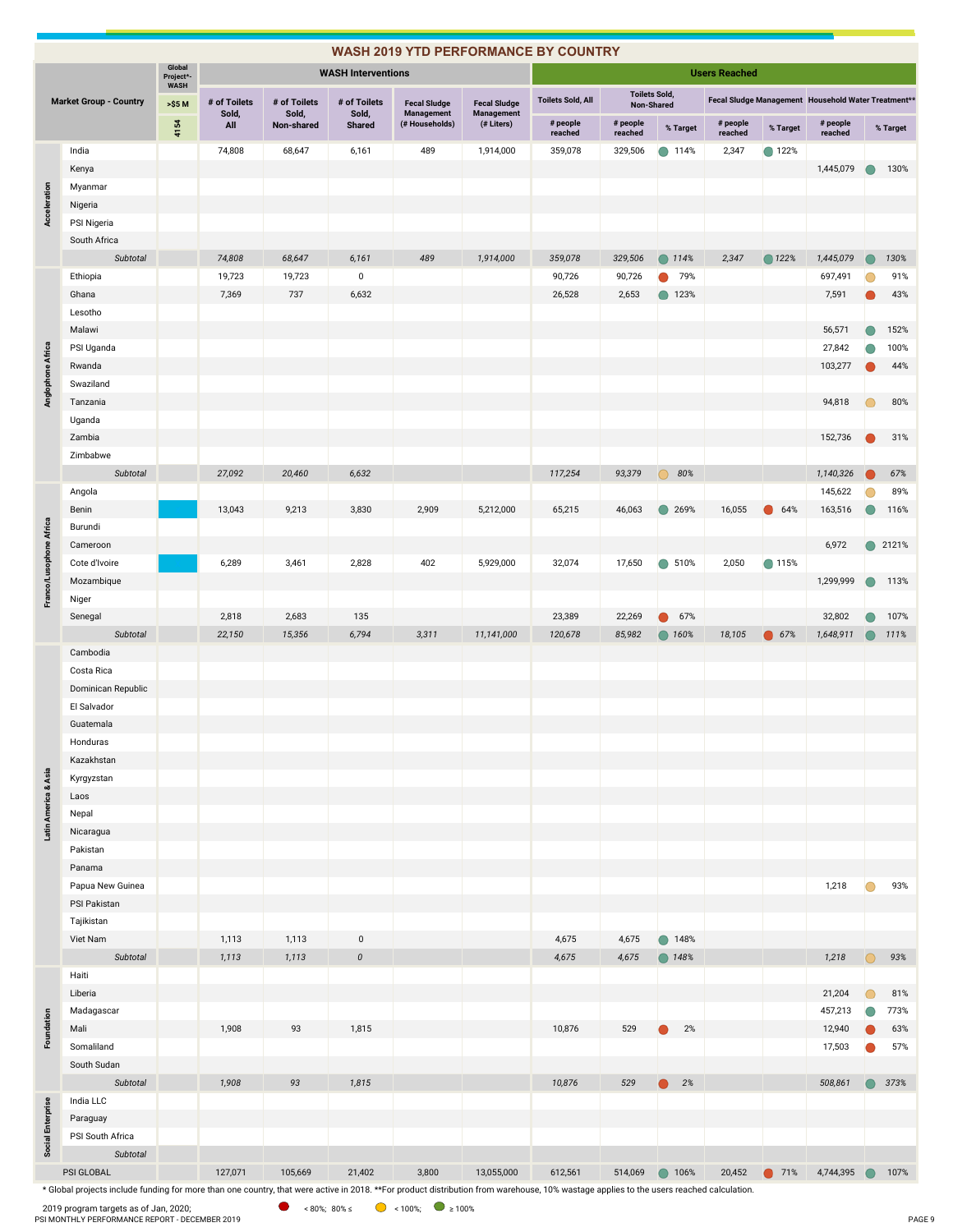|                         |                                                                                                                                                                                                       |                     |                       |                            |                                 |                                      |                                          | <b>WASH 2019 YTD PERFORMANCE BY COUNTRY</b> |                      |                  |                      |          |                                                     |                |             |
|-------------------------|-------------------------------------------------------------------------------------------------------------------------------------------------------------------------------------------------------|---------------------|-----------------------|----------------------------|---------------------------------|--------------------------------------|------------------------------------------|---------------------------------------------|----------------------|------------------|----------------------|----------|-----------------------------------------------------|----------------|-------------|
|                         |                                                                                                                                                                                                       | Global<br>Project*- |                       |                            | <b>WASH Interventions</b>       |                                      |                                          |                                             |                      |                  | <b>Users Reached</b> |          |                                                     |                |             |
|                         |                                                                                                                                                                                                       | <b>WASH</b>         |                       |                            |                                 |                                      |                                          | <b>Toilets Sold, All</b>                    | <b>Toilets Sold,</b> |                  |                      |          | Fecal Sludge Management Household Water Treatment** |                |             |
|                         | <b>Market Group - Country</b>                                                                                                                                                                         | >\$5 M              | # of Toilets<br>Sold, | # of Toilets<br>Sold,      | # of Toilets<br>Sold,           | <b>Fecal Sludge</b><br>Management    | <b>Fecal Sludge</b><br><b>Management</b> | # people                                    | # people             | Non-Shared       | # people             |          |                                                     |                |             |
|                         |                                                                                                                                                                                                       | 4154                | All                   | Non-shared                 | <b>Shared</b>                   | (# Households)                       | (# Liters)                               | reached                                     | reached              | % Target         | reached              | % Target | # people<br>reached                                 |                | % Target    |
|                         | India                                                                                                                                                                                                 |                     | 74,808                | 68,647                     | 6,161                           | 489                                  | 1,914,000                                | 359,078                                     | 329,506              | ● 114%           | 2,347                | ● 122%   |                                                     |                |             |
|                         | Kenya                                                                                                                                                                                                 |                     |                       |                            |                                 |                                      |                                          |                                             |                      |                  |                      |          | 1,445,079                                           |                | 130%        |
| Acceleration            | Myanmar<br>Nigeria                                                                                                                                                                                    |                     |                       |                            |                                 |                                      |                                          |                                             |                      |                  |                      |          |                                                     |                |             |
|                         | PSI Nigeria                                                                                                                                                                                           |                     |                       |                            |                                 |                                      |                                          |                                             |                      |                  |                      |          |                                                     |                |             |
|                         | South Africa                                                                                                                                                                                          |                     |                       |                            |                                 |                                      |                                          |                                             |                      |                  |                      |          |                                                     |                |             |
|                         | Subtotal                                                                                                                                                                                              |                     | 74,808                | 68,647                     | 6,161                           | 489                                  | 1,914,000                                | 359,078                                     | 329,506              | ◯ 114%           | 2,347                | ◯ 122%   | 1,445,079                                           |                | 130%        |
|                         | Ethiopia                                                                                                                                                                                              |                     | 19,723                | 19,723                     | $\pmb{0}$                       |                                      |                                          | 90,726                                      | 90,726               | 79%<br>$\bullet$ |                      |          | 697,491                                             |                | 91%         |
|                         | Ghana                                                                                                                                                                                                 |                     | 7,369                 | 737                        | 6,632                           |                                      |                                          | 26,528                                      | 2,653                | ● 123%           |                      |          | 7,591                                               |                | 43%         |
|                         | Lesotho                                                                                                                                                                                               |                     |                       |                            |                                 |                                      |                                          |                                             |                      |                  |                      |          |                                                     |                |             |
|                         | Malawi                                                                                                                                                                                                |                     |                       |                            |                                 |                                      |                                          |                                             |                      |                  |                      |          | 56,571                                              |                | 152%        |
|                         | PSI Uganda                                                                                                                                                                                            |                     |                       |                            |                                 |                                      |                                          |                                             |                      |                  |                      |          | 27,842                                              |                | 100%        |
| Anglophone Africa       | Rwanda                                                                                                                                                                                                |                     |                       |                            |                                 |                                      |                                          |                                             |                      |                  |                      |          | 103,277                                             |                | 44%         |
|                         | Swaziland                                                                                                                                                                                             |                     |                       |                            |                                 |                                      |                                          |                                             |                      |                  |                      |          |                                                     |                |             |
|                         | Tanzania                                                                                                                                                                                              |                     |                       |                            |                                 |                                      |                                          |                                             |                      |                  |                      |          | 94,818                                              |                | 80%         |
|                         | Uganda                                                                                                                                                                                                |                     |                       |                            |                                 |                                      |                                          |                                             |                      |                  |                      |          |                                                     |                |             |
|                         | Zambia                                                                                                                                                                                                |                     |                       |                            |                                 |                                      |                                          |                                             |                      |                  |                      |          | 152,736                                             |                | 31%         |
|                         | Zimbabwe                                                                                                                                                                                              |                     |                       |                            |                                 |                                      |                                          |                                             |                      |                  |                      |          |                                                     |                |             |
|                         | Subtotal                                                                                                                                                                                              |                     | 27,092                | 20,460                     | 6,632                           |                                      |                                          | 117,254                                     | 93,379               | 80%<br>$\bigcap$ |                      |          | 1,140,326                                           |                | 67%         |
|                         | Angola<br>Benin                                                                                                                                                                                       |                     | 13,043                | 9,213                      | 3,830                           | 2,909                                | 5,212,000                                | 65,215                                      | 46,063               | 269%             | 16,055               | 64%      | 145,622<br>163,516                                  | $\overline{ }$ | 89%<br>116% |
|                         | Burundi                                                                                                                                                                                               |                     |                       |                            |                                 |                                      |                                          |                                             |                      |                  |                      |          |                                                     |                |             |
|                         | Cameroon                                                                                                                                                                                              |                     |                       |                            |                                 |                                      |                                          |                                             |                      |                  |                      |          | 6,972                                               | $\bullet$      | 2121%       |
|                         | Cote d'Ivoire                                                                                                                                                                                         |                     | 6,289                 | 3,461                      | 2,828                           | 402                                  | 5,929,000                                | 32,074                                      | 17,650               | $\bigcirc$ 510%  | 2,050                | ● 115%   |                                                     |                |             |
|                         | Mozambique                                                                                                                                                                                            |                     |                       |                            |                                 |                                      |                                          |                                             |                      |                  |                      |          | 1,299,999                                           |                | 113%        |
| Franco/Lusophone Africa | Niger                                                                                                                                                                                                 |                     |                       |                            |                                 |                                      |                                          |                                             |                      |                  |                      |          |                                                     |                |             |
|                         | Senegal                                                                                                                                                                                               |                     | 2,818                 | 2,683                      | 135                             |                                      |                                          | 23,389                                      | 22,269               | 67%              |                      |          | 32,802                                              |                | 107%        |
|                         | Subtotal                                                                                                                                                                                              |                     | 22,150                | 15,356                     | 6,794                           | 3,311                                | 11,141,000                               | 120,678                                     | 85,982               | ◯ 160%           | 18,105               | ● 67%    | 1,648,911                                           | $\bigcirc$     | 111%        |
|                         | Cambodia                                                                                                                                                                                              |                     |                       |                            |                                 |                                      |                                          |                                             |                      |                  |                      |          |                                                     |                |             |
|                         | Costa Rica                                                                                                                                                                                            |                     |                       |                            |                                 |                                      |                                          |                                             |                      |                  |                      |          |                                                     |                |             |
|                         | Dominican Republic                                                                                                                                                                                    |                     |                       |                            |                                 |                                      |                                          |                                             |                      |                  |                      |          |                                                     |                |             |
|                         | El Salvador                                                                                                                                                                                           |                     |                       |                            |                                 |                                      |                                          |                                             |                      |                  |                      |          |                                                     |                |             |
|                         | Guatemala                                                                                                                                                                                             |                     |                       |                            |                                 |                                      |                                          |                                             |                      |                  |                      |          |                                                     |                |             |
|                         | Honduras<br>Kazakhstan                                                                                                                                                                                |                     |                       |                            |                                 |                                      |                                          |                                             |                      |                  |                      |          |                                                     |                |             |
|                         | Kyrgyzstan                                                                                                                                                                                            |                     |                       |                            |                                 |                                      |                                          |                                             |                      |                  |                      |          |                                                     |                |             |
|                         | Laos                                                                                                                                                                                                  |                     |                       |                            |                                 |                                      |                                          |                                             |                      |                  |                      |          |                                                     |                |             |
|                         | Nepal                                                                                                                                                                                                 |                     |                       |                            |                                 |                                      |                                          |                                             |                      |                  |                      |          |                                                     |                |             |
| Latin America & Asia    | Nicaragua                                                                                                                                                                                             |                     |                       |                            |                                 |                                      |                                          |                                             |                      |                  |                      |          |                                                     |                |             |
|                         | Pakistan                                                                                                                                                                                              |                     |                       |                            |                                 |                                      |                                          |                                             |                      |                  |                      |          |                                                     |                |             |
|                         | Panama                                                                                                                                                                                                |                     |                       |                            |                                 |                                      |                                          |                                             |                      |                  |                      |          |                                                     |                |             |
|                         | Papua New Guinea                                                                                                                                                                                      |                     |                       |                            |                                 |                                      |                                          |                                             |                      |                  |                      |          | 1,218                                               | ∩              | 93%         |
|                         | PSI Pakistan                                                                                                                                                                                          |                     |                       |                            |                                 |                                      |                                          |                                             |                      |                  |                      |          |                                                     |                |             |
|                         | Tajikistan                                                                                                                                                                                            |                     |                       |                            |                                 |                                      |                                          |                                             |                      |                  |                      |          |                                                     |                |             |
|                         | Viet Nam<br>Subtotal                                                                                                                                                                                  |                     | 1,113                 | 1,113                      | $\pmb{0}$<br>$\pmb{\mathit{0}}$ |                                      |                                          | 4,675                                       | 4,675                | ● 148%           |                      |          |                                                     | ∩              |             |
|                         | Haiti                                                                                                                                                                                                 |                     | 1,113                 | 1,113                      |                                 |                                      |                                          | 4,675                                       | 4,675                | ● 148%           |                      |          | 1,218                                               |                | 93%         |
|                         | Liberia                                                                                                                                                                                               |                     |                       |                            |                                 |                                      |                                          |                                             |                      |                  |                      |          | 21,204                                              |                | 81%         |
|                         | Madagascar                                                                                                                                                                                            |                     |                       |                            |                                 |                                      |                                          |                                             |                      |                  |                      |          | 457,213                                             |                | 773%        |
| Foundation              | Mali                                                                                                                                                                                                  |                     | 1,908                 | 93                         | 1,815                           |                                      |                                          | 10,876                                      | 529                  | 2%               |                      |          | 12,940                                              |                | 63%         |
|                         | Somaliland                                                                                                                                                                                            |                     |                       |                            |                                 |                                      |                                          |                                             |                      |                  |                      |          | 17,503                                              |                | 57%         |
|                         | South Sudan                                                                                                                                                                                           |                     |                       |                            |                                 |                                      |                                          |                                             |                      |                  |                      |          |                                                     |                |             |
|                         | Subtotal                                                                                                                                                                                              |                     | 1,908                 | 93                         | 1,815                           |                                      |                                          | 10,876                                      | 529                  | 2%<br>$\bullet$  |                      |          | 508,861                                             | $\bullet$      | 373%        |
|                         | India LLC                                                                                                                                                                                             |                     |                       |                            |                                 |                                      |                                          |                                             |                      |                  |                      |          |                                                     |                |             |
|                         | Paraguay                                                                                                                                                                                              |                     |                       |                            |                                 |                                      |                                          |                                             |                      |                  |                      |          |                                                     |                |             |
| Social Enterprise       | PSI South Africa                                                                                                                                                                                      |                     |                       |                            |                                 |                                      |                                          |                                             |                      |                  |                      |          |                                                     |                |             |
|                         | Subtotal                                                                                                                                                                                              |                     |                       |                            |                                 |                                      |                                          |                                             |                      |                  |                      |          |                                                     |                |             |
|                         | PSI GLOBAL<br>* Global projects include funding for more than one country, that were active in 2018. **For product distribution from warehouse, 10% wastage applies to the users reached calculation. |                     | 127,071               | 105,669                    | 21,402                          | 3,800                                | 13,055,000                               | 612,561                                     | 514,069              | ● 106%           | 20,452               | ● 71%    | 4,744,395                                           | $\bigcirc$     | 107%        |
|                         | 2019 program targets as of Jan, 2020;                                                                                                                                                                 |                     |                       | $\bullet$ < 80%; 80% $\le$ |                                 | $\bigcirc$ < 100%; $\bigcirc$ ≥ 100% |                                          |                                             |                      |                  |                      |          |                                                     |                |             |